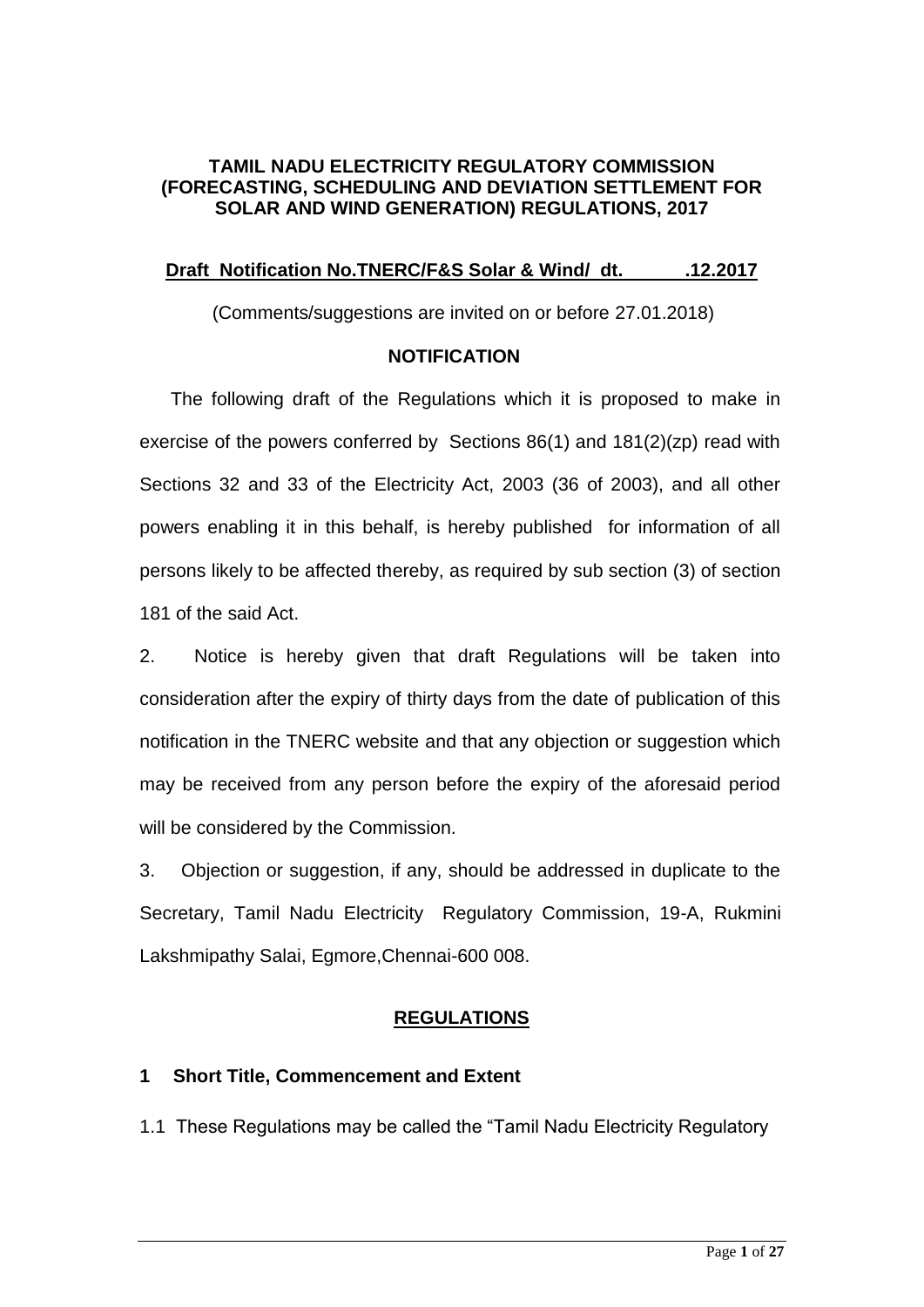#### **TAMIL NADU ELECTRICITY REGULATORY COMMISSION (FORECASTING, SCHEDULING AND DEVIATION SETTLEMENT FOR SOLAR AND WIND GENERATION) REGULATIONS, 2017**

#### **Draft Notification No.TNERC/F&S Solar & Wind/ dt. .12.2017**

(Comments/suggestions are invited on or before 27.01.2018)

#### **NOTIFICATION**

 The following draft of the Regulations which it is proposed to make in exercise of the powers conferred by Sections 86(1) and 181(2)(zp) read with Sections 32 and 33 of the Electricity Act, 2003 (36 of 2003), and all other powers enabling it in this behalf, is hereby published for information of all persons likely to be affected thereby, as required by sub section (3) of section 181 of the said Act.

2. Notice is hereby given that draft Regulations will be taken into consideration after the expiry of thirty days from the date of publication of this notification in the TNERC website and that any objection or suggestion which may be received from any person before the expiry of the aforesaid period will be considered by the Commission.

3. Objection or suggestion, if any, should be addressed in duplicate to the Secretary, Tamil Nadu Electricity Regulatory Commission, 19-A, Rukmini Lakshmipathy Salai, Egmore,Chennai-600 008.

#### **REGULATIONS**

#### **1 Short Title, Commencement and Extent**

1.1 These Regulations may be called the "Tamil Nadu Electricity Regulatory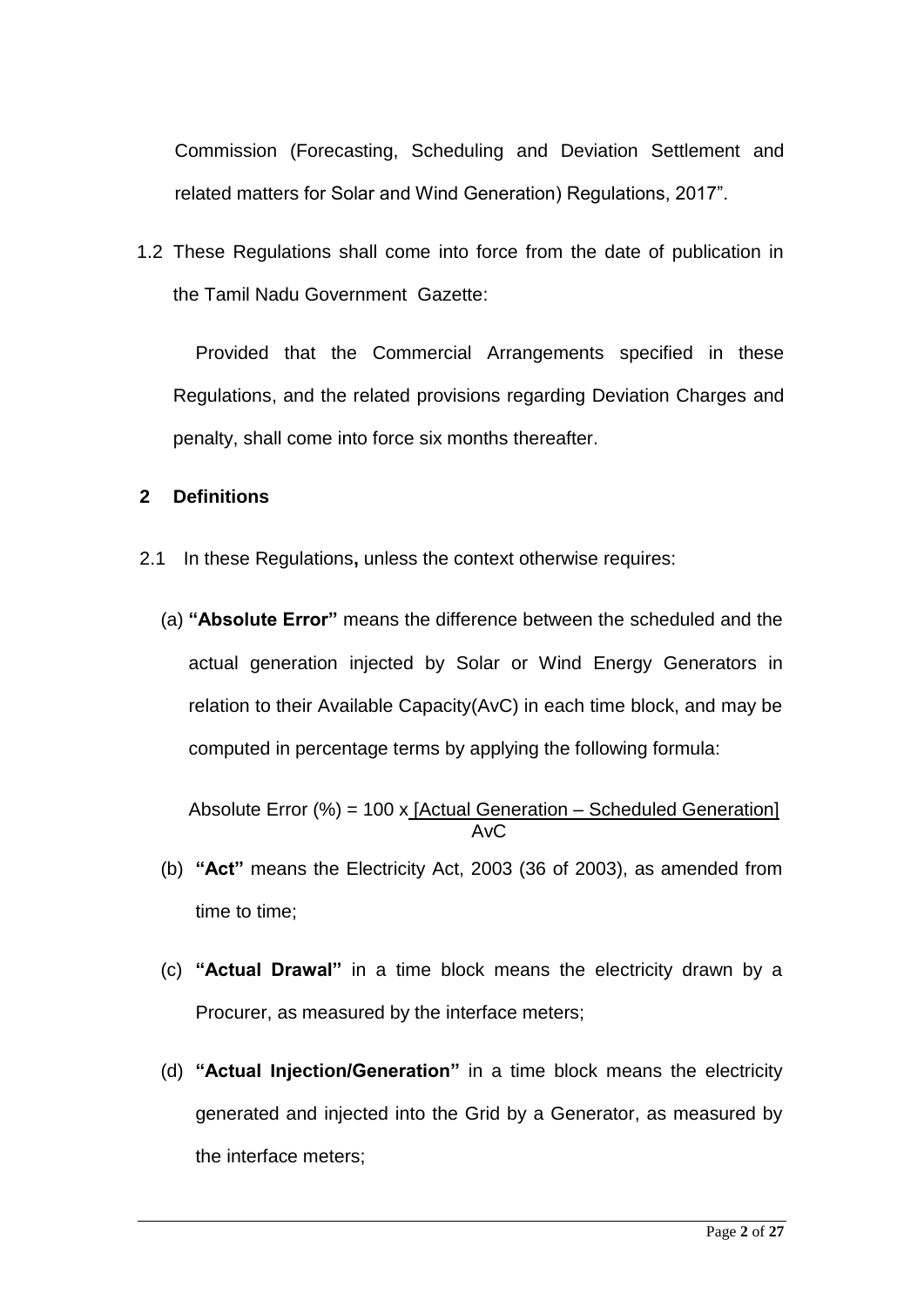Commission (Forecasting, Scheduling and Deviation Settlement and related matters for Solar and Wind Generation) Regulations, 2017".

1.2 These Regulations shall come into force from the date of publication in the Tamil Nadu Government Gazette:

Provided that the Commercial Arrangements specified in these Regulations, and the related provisions regarding Deviation Charges and penalty, shall come into force six months thereafter.

#### **2 Definitions**

- 2.1 In these Regulations**,** unless the context otherwise requires:
	- (a) **"Absolute Error"** means the difference between the scheduled and the actual generation injected by Solar or Wind Energy Generators in relation to their Available Capacity(AvC) in each time block, and may be computed in percentage terms by applying the following formula:

Absolute Error (%) = 100 x  $[Actual Generation - ScheduleGeneration]$ AvC

- (b) **"Act"** means the Electricity Act, 2003 (36 of 2003), as amended from time to time;
- (c) **"Actual Drawal"** in a time block means the electricity drawn by a Procurer, as measured by the interface meters;
- (d) **"Actual Injection/Generation"** in a time block means the electricity generated and injected into the Grid by a Generator, as measured by the interface meters;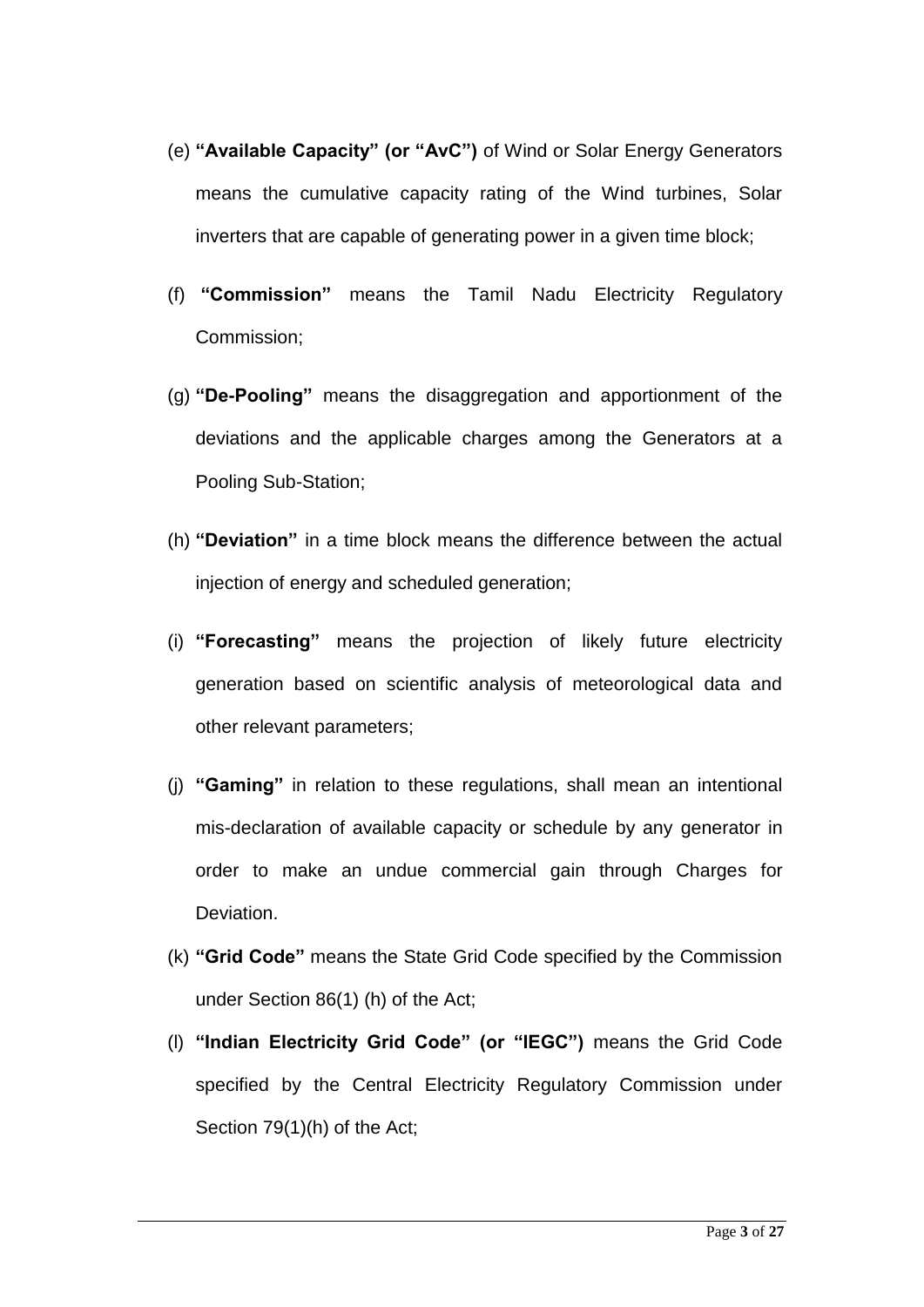- (e) **"Available Capacity" (or "AvC")** of Wind or Solar Energy Generators means the cumulative capacity rating of the Wind turbines, Solar inverters that are capable of generating power in a given time block;
- (f) **"Commission"** means the Tamil Nadu Electricity Regulatory Commission;
- (g) **"De-Pooling"** means the disaggregation and apportionment of the deviations and the applicable charges among the Generators at a Pooling Sub-Station;
- (h) **"Deviation"** in a time block means the difference between the actual injection of energy and scheduled generation;
- (i) **"Forecasting"** means the projection of likely future electricity generation based on scientific analysis of meteorological data and other relevant parameters;
- (j) **"Gaming"** in relation to these regulations, shall mean an intentional mis-declaration of available capacity or schedule by any generator in order to make an undue commercial gain through Charges for Deviation.
- (k) **"Grid Code"** means the State Grid Code specified by the Commission under Section 86(1) (h) of the Act;
- (l) **"Indian Electricity Grid Code" (or "IEGC")** means the Grid Code specified by the Central Electricity Regulatory Commission under Section 79(1)(h) of the Act;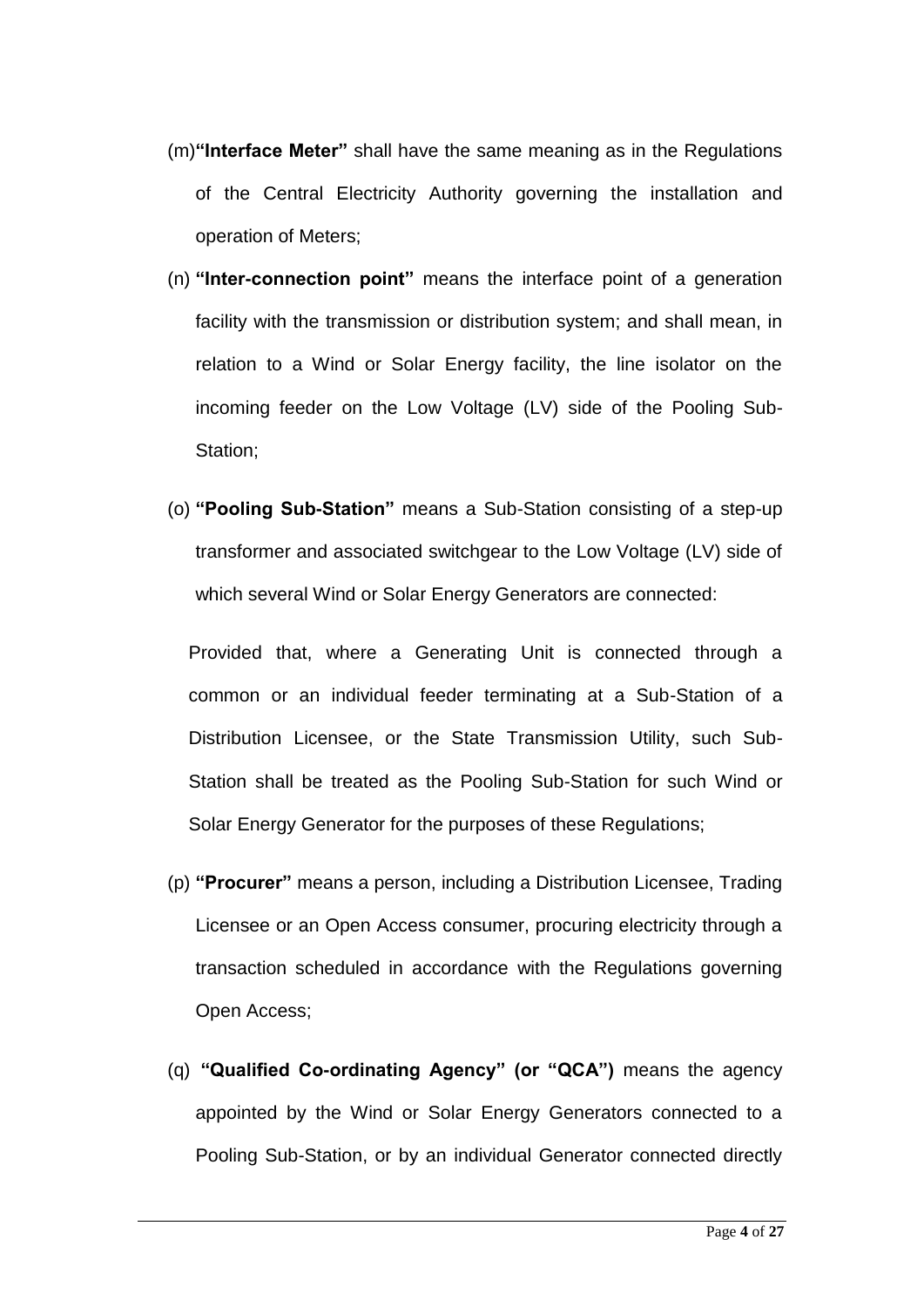- (m)**"Interface Meter"** shall have the same meaning as in the Regulations of the Central Electricity Authority governing the installation and operation of Meters;
- (n) **"Inter-connection point"** means the interface point of a generation facility with the transmission or distribution system; and shall mean, in relation to a Wind or Solar Energy facility, the line isolator on the incoming feeder on the Low Voltage (LV) side of the Pooling Sub-Station;
- (o) **"Pooling Sub-Station"** means a Sub-Station consisting of a step-up transformer and associated switchgear to the Low Voltage (LV) side of which several Wind or Solar Energy Generators are connected:

Provided that, where a Generating Unit is connected through a common or an individual feeder terminating at a Sub-Station of a Distribution Licensee, or the State Transmission Utility, such Sub-Station shall be treated as the Pooling Sub-Station for such Wind or Solar Energy Generator for the purposes of these Regulations;

- (p) **"Procurer"** means a person, including a Distribution Licensee, Trading Licensee or an Open Access consumer, procuring electricity through a transaction scheduled in accordance with the Regulations governing Open Access;
- (q) **"Qualified Co-ordinating Agency" (or "QCA")** means the agency appointed by the Wind or Solar Energy Generators connected to a Pooling Sub-Station, or by an individual Generator connected directly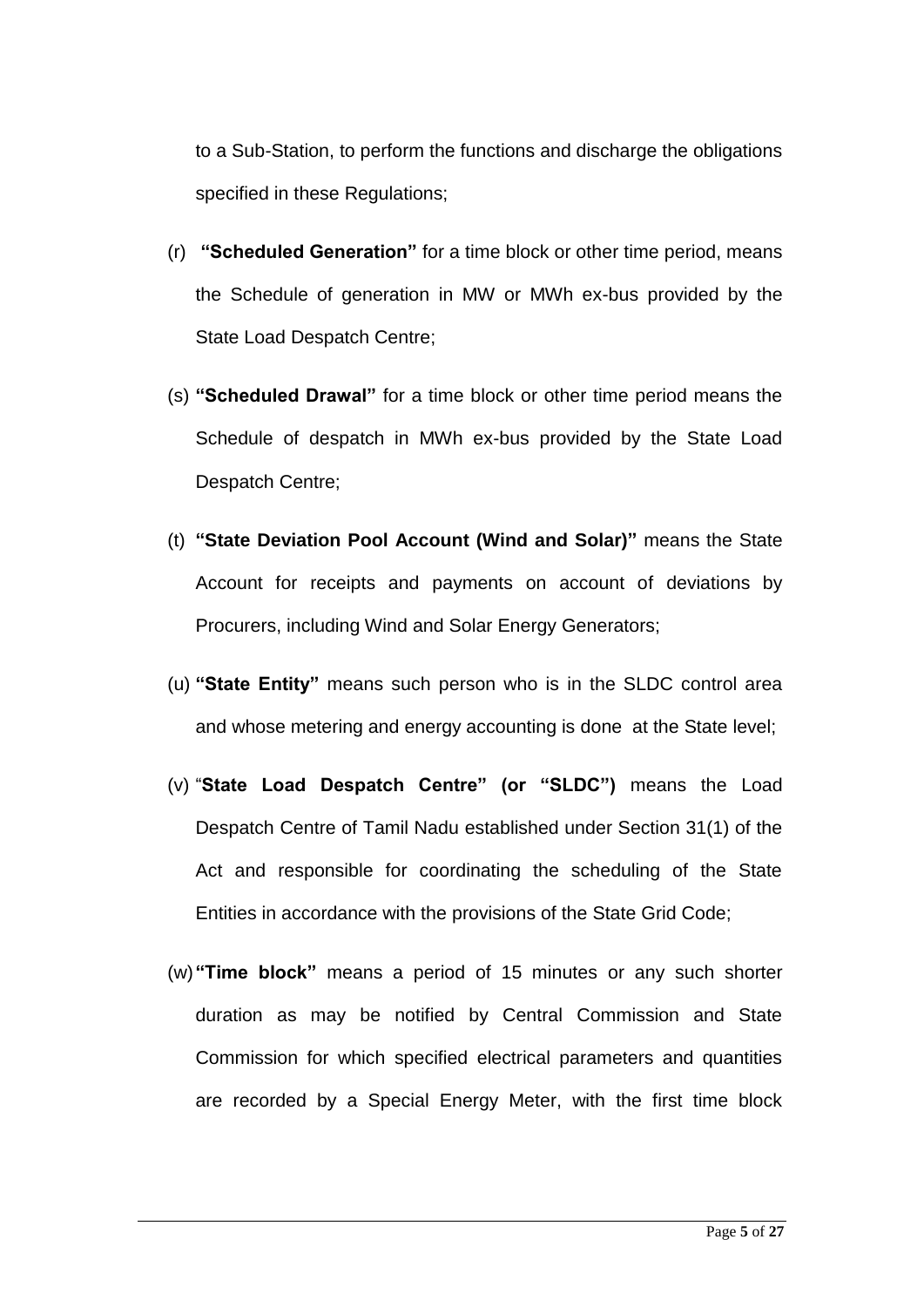to a Sub-Station, to perform the functions and discharge the obligations specified in these Regulations;

- (r) **"Scheduled Generation"** for a time block or other time period, means the Schedule of generation in MW or MWh ex-bus provided by the State Load Despatch Centre;
- (s) **"Scheduled Drawal"** for a time block or other time period means the Schedule of despatch in MWh ex-bus provided by the State Load Despatch Centre;
- (t) **"State Deviation Pool Account (Wind and Solar)"** means the State Account for receipts and payments on account of deviations by Procurers, including Wind and Solar Energy Generators;
- (u) **"State Entity"** means such person who is in the SLDC control area and whose metering and energy accounting is done at the State level;
- (v) "**State Load Despatch Centre" (or "SLDC")** means the Load Despatch Centre of Tamil Nadu established under Section 31(1) of the Act and responsible for coordinating the scheduling of the State Entities in accordance with the provisions of the State Grid Code;
- (w)**"Time block"** means a period of 15 minutes or any such shorter duration as may be notified by Central Commission and State Commission for which specified electrical parameters and quantities are recorded by a Special Energy Meter, with the first time block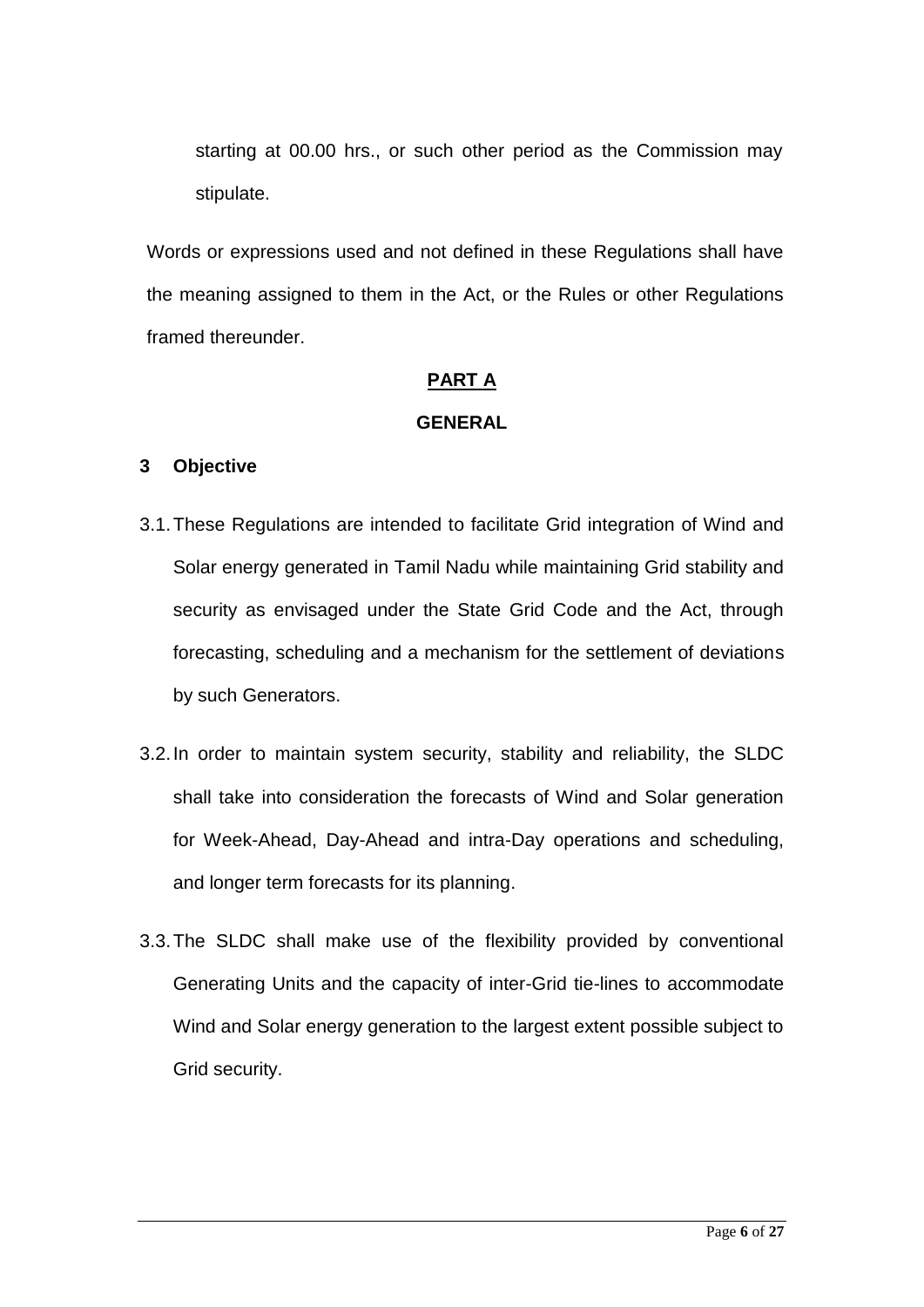starting at 00.00 hrs., or such other period as the Commission may stipulate.

Words or expressions used and not defined in these Regulations shall have the meaning assigned to them in the Act, or the Rules or other Regulations framed thereunder.

### **PART A**

#### **GENERAL**

### **3 Objective**

- 3.1.These Regulations are intended to facilitate Grid integration of Wind and Solar energy generated in Tamil Nadu while maintaining Grid stability and security as envisaged under the State Grid Code and the Act, through forecasting, scheduling and a mechanism for the settlement of deviations by such Generators.
- 3.2.In order to maintain system security, stability and reliability, the SLDC shall take into consideration the forecasts of Wind and Solar generation for Week-Ahead, Day-Ahead and intra-Day operations and scheduling, and longer term forecasts for its planning.
- 3.3.The SLDC shall make use of the flexibility provided by conventional Generating Units and the capacity of inter-Grid tie-lines to accommodate Wind and Solar energy generation to the largest extent possible subject to Grid security.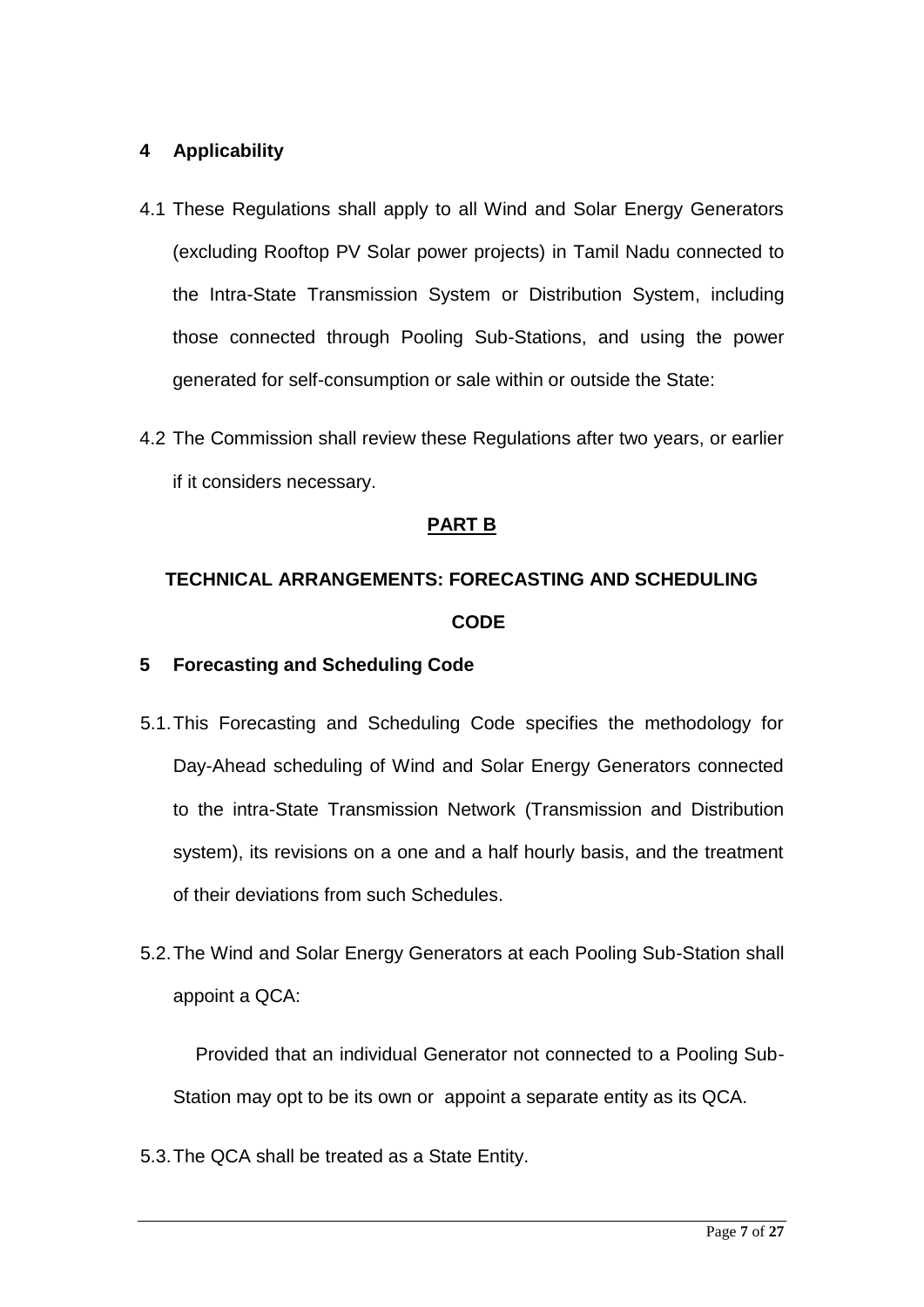## **4 Applicability**

- 4.1 These Regulations shall apply to all Wind and Solar Energy Generators (excluding Rooftop PV Solar power projects) in Tamil Nadu connected to the Intra-State Transmission System or Distribution System, including those connected through Pooling Sub-Stations, and using the power generated for self-consumption or sale within or outside the State:
- 4.2 The Commission shall review these Regulations after two years, or earlier if it considers necessary.

## **PART B**

# **TECHNICAL ARRANGEMENTS: FORECASTING AND SCHEDULING CODE**

#### **5 Forecasting and Scheduling Code**

- 5.1.This Forecasting and Scheduling Code specifies the methodology for Day-Ahead scheduling of Wind and Solar Energy Generators connected to the intra-State Transmission Network (Transmission and Distribution system), its revisions on a one and a half hourly basis, and the treatment of their deviations from such Schedules.
- 5.2.The Wind and Solar Energy Generators at each Pooling Sub-Station shall appoint a QCA:

Provided that an individual Generator not connected to a Pooling Sub-Station may opt to be its own or appoint a separate entity as its QCA.

5.3.The QCA shall be treated as a State Entity.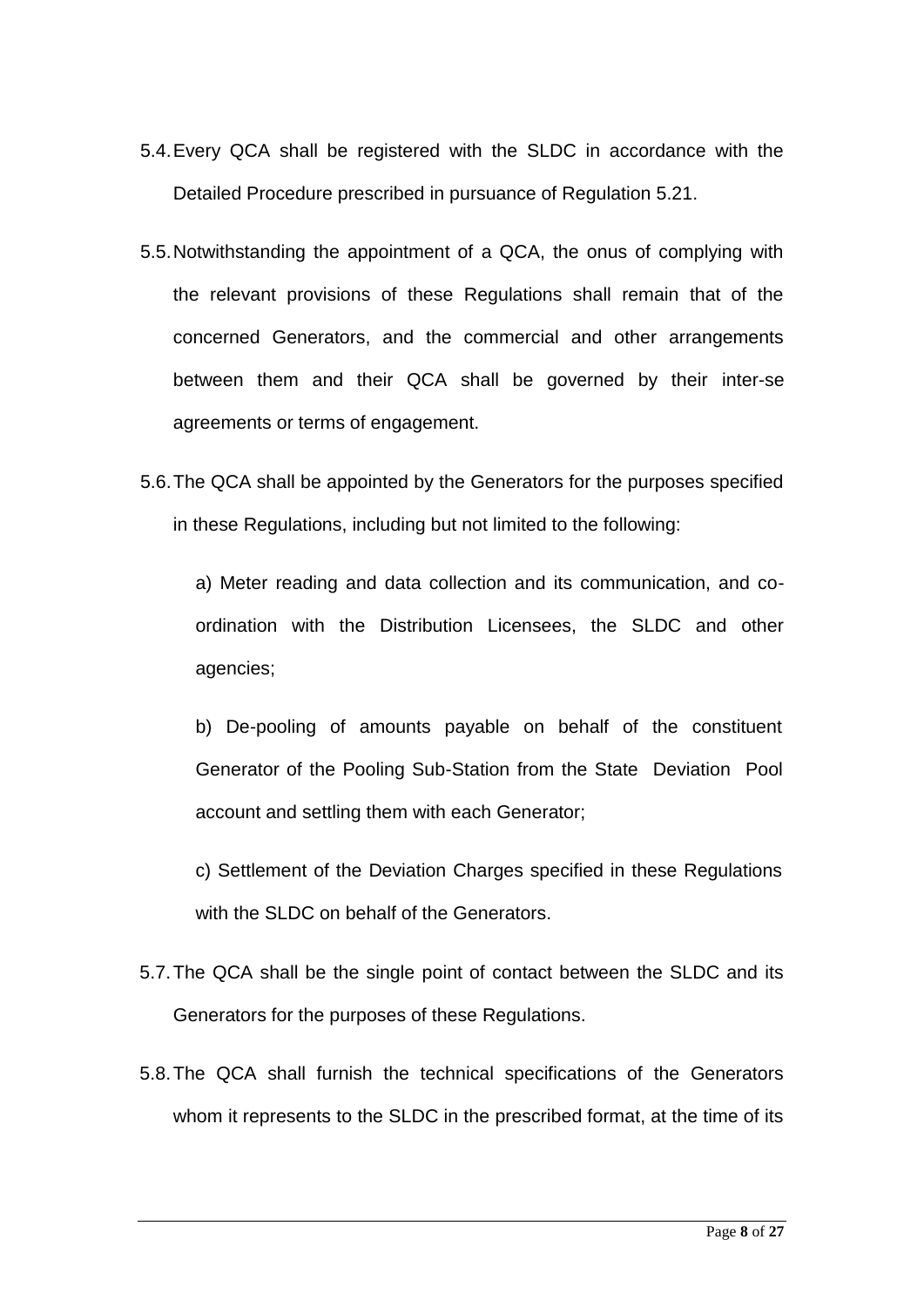- 5.4.Every QCA shall be registered with the SLDC in accordance with the Detailed Procedure prescribed in pursuance of Regulation 5.21.
- 5.5.Notwithstanding the appointment of a QCA, the onus of complying with the relevant provisions of these Regulations shall remain that of the concerned Generators, and the commercial and other arrangements between them and their QCA shall be governed by their inter-se agreements or terms of engagement.
- 5.6.The QCA shall be appointed by the Generators for the purposes specified in these Regulations, including but not limited to the following:

a) Meter reading and data collection and its communication, and coordination with the Distribution Licensees, the SLDC and other agencies;

b) De-pooling of amounts payable on behalf of the constituent Generator of the Pooling Sub-Station from the State Deviation Pool account and settling them with each Generator;

c) Settlement of the Deviation Charges specified in these Regulations with the SLDC on behalf of the Generators.

- 5.7.The QCA shall be the single point of contact between the SLDC and its Generators for the purposes of these Regulations.
- 5.8.The QCA shall furnish the technical specifications of the Generators whom it represents to the SLDC in the prescribed format, at the time of its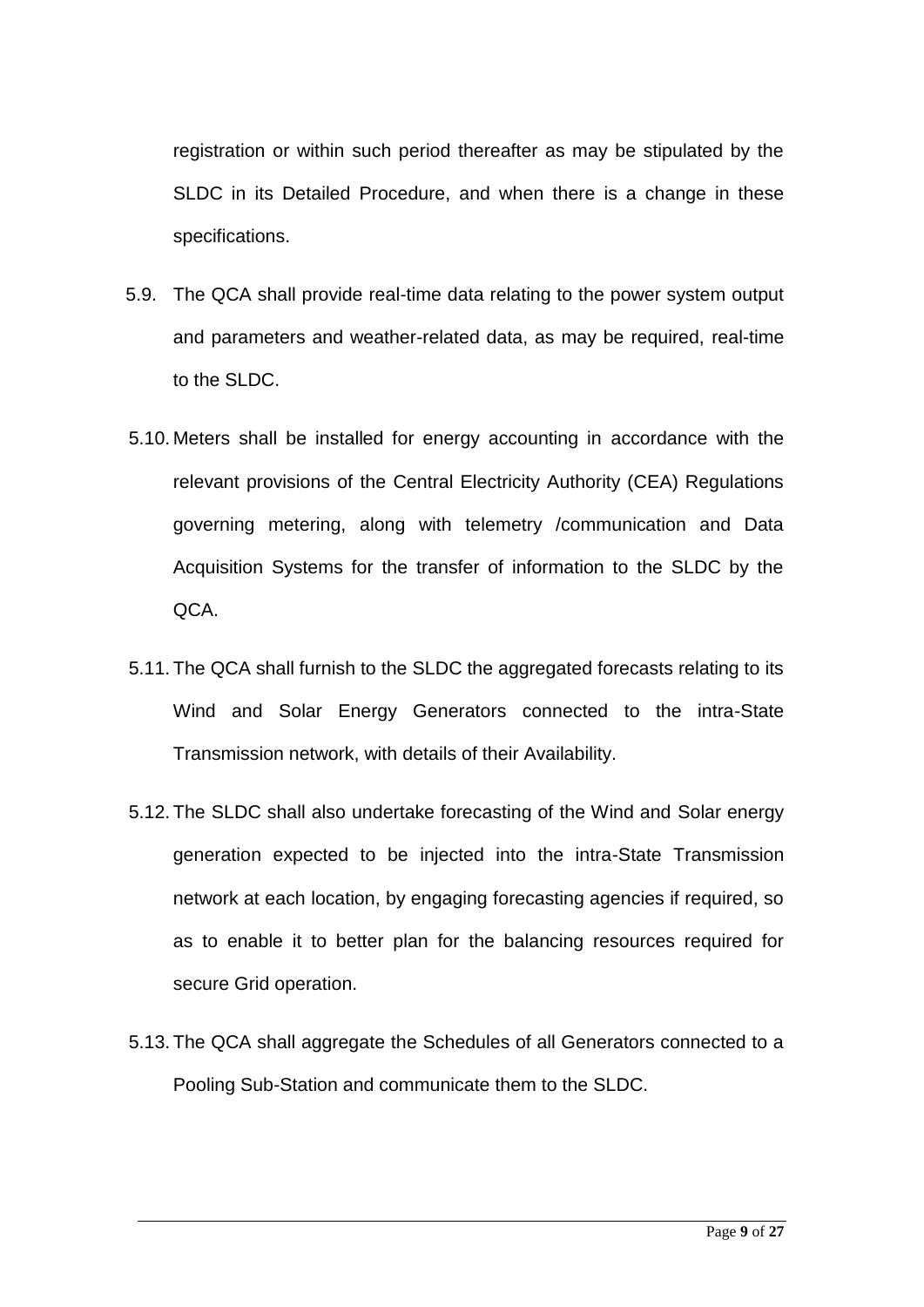registration or within such period thereafter as may be stipulated by the SLDC in its Detailed Procedure, and when there is a change in these specifications.

- 5.9. The QCA shall provide real-time data relating to the power system output and parameters and weather-related data, as may be required, real-time to the SLDC.
- 5.10. Meters shall be installed for energy accounting in accordance with the relevant provisions of the Central Electricity Authority (CEA) Regulations governing metering, along with telemetry /communication and Data Acquisition Systems for the transfer of information to the SLDC by the QCA.
- 5.11. The QCA shall furnish to the SLDC the aggregated forecasts relating to its Wind and Solar Energy Generators connected to the intra-State Transmission network, with details of their Availability.
- 5.12. The SLDC shall also undertake forecasting of the Wind and Solar energy generation expected to be injected into the intra-State Transmission network at each location, by engaging forecasting agencies if required, so as to enable it to better plan for the balancing resources required for secure Grid operation.
- 5.13. The QCA shall aggregate the Schedules of all Generators connected to a Pooling Sub-Station and communicate them to the SLDC.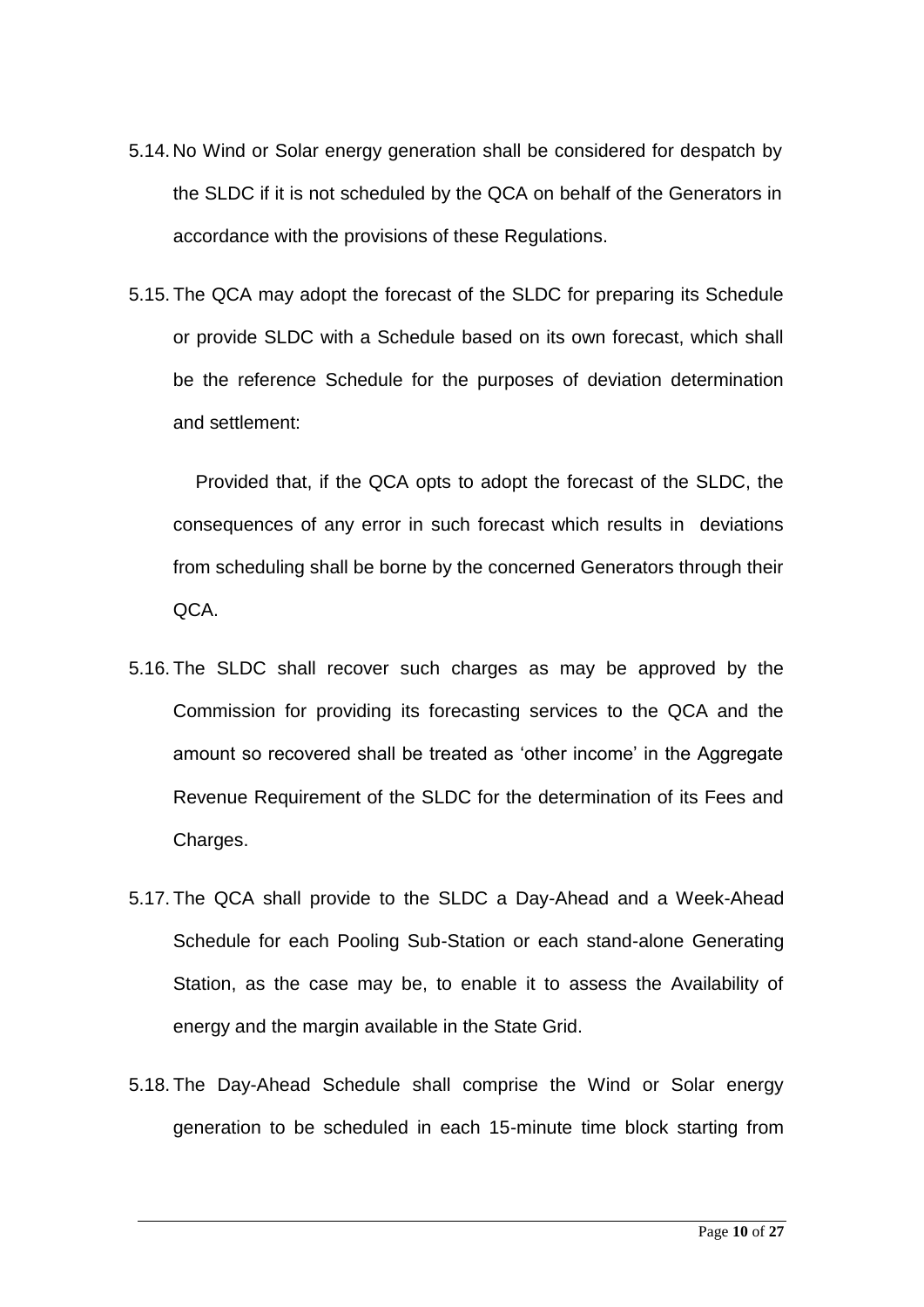- 5.14.No Wind or Solar energy generation shall be considered for despatch by the SLDC if it is not scheduled by the QCA on behalf of the Generators in accordance with the provisions of these Regulations.
- 5.15. The QCA may adopt the forecast of the SLDC for preparing its Schedule or provide SLDC with a Schedule based on its own forecast, which shall be the reference Schedule for the purposes of deviation determination and settlement:

Provided that, if the QCA opts to adopt the forecast of the SLDC, the consequences of any error in such forecast which results in deviations from scheduling shall be borne by the concerned Generators through their QCA.

- 5.16. The SLDC shall recover such charges as may be approved by the Commission for providing its forecasting services to the QCA and the amount so recovered shall be treated as 'other income' in the Aggregate Revenue Requirement of the SLDC for the determination of its Fees and Charges.
- 5.17. The QCA shall provide to the SLDC a Day-Ahead and a Week-Ahead Schedule for each Pooling Sub-Station or each stand-alone Generating Station, as the case may be, to enable it to assess the Availability of energy and the margin available in the State Grid.
- 5.18. The Day-Ahead Schedule shall comprise the Wind or Solar energy generation to be scheduled in each 15-minute time block starting from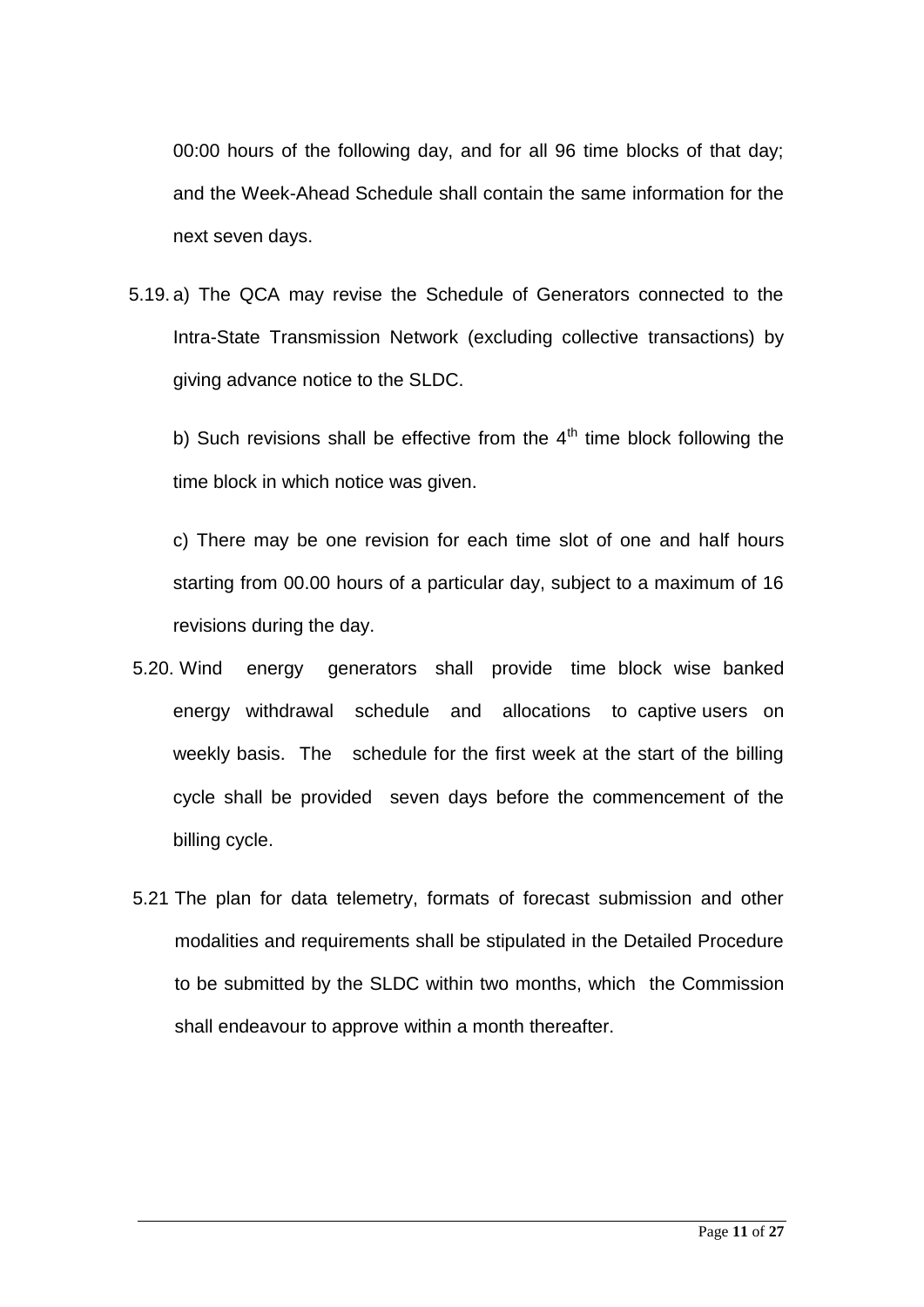00:00 hours of the following day, and for all 96 time blocks of that day; and the Week-Ahead Schedule shall contain the same information for the next seven days.

5.19. a) The QCA may revise the Schedule of Generators connected to the Intra-State Transmission Network (excluding collective transactions) by giving advance notice to the SLDC.

b) Such revisions shall be effective from the  $4<sup>th</sup>$  time block following the time block in which notice was given.

c) There may be one revision for each time slot of one and half hours starting from 00.00 hours of a particular day, subject to a maximum of 16 revisions during the day.

- 5.20. Wind energy generators shall provide time block wise banked energy withdrawal schedule and allocations to captive users on weekly basis. The schedule for the first week at the start of the billing cycle shall be provided seven days before the commencement of the billing cycle.
- 5.21 The plan for data telemetry, formats of forecast submission and other modalities and requirements shall be stipulated in the Detailed Procedure to be submitted by the SLDC within two months, which the Commission shall endeavour to approve within a month thereafter.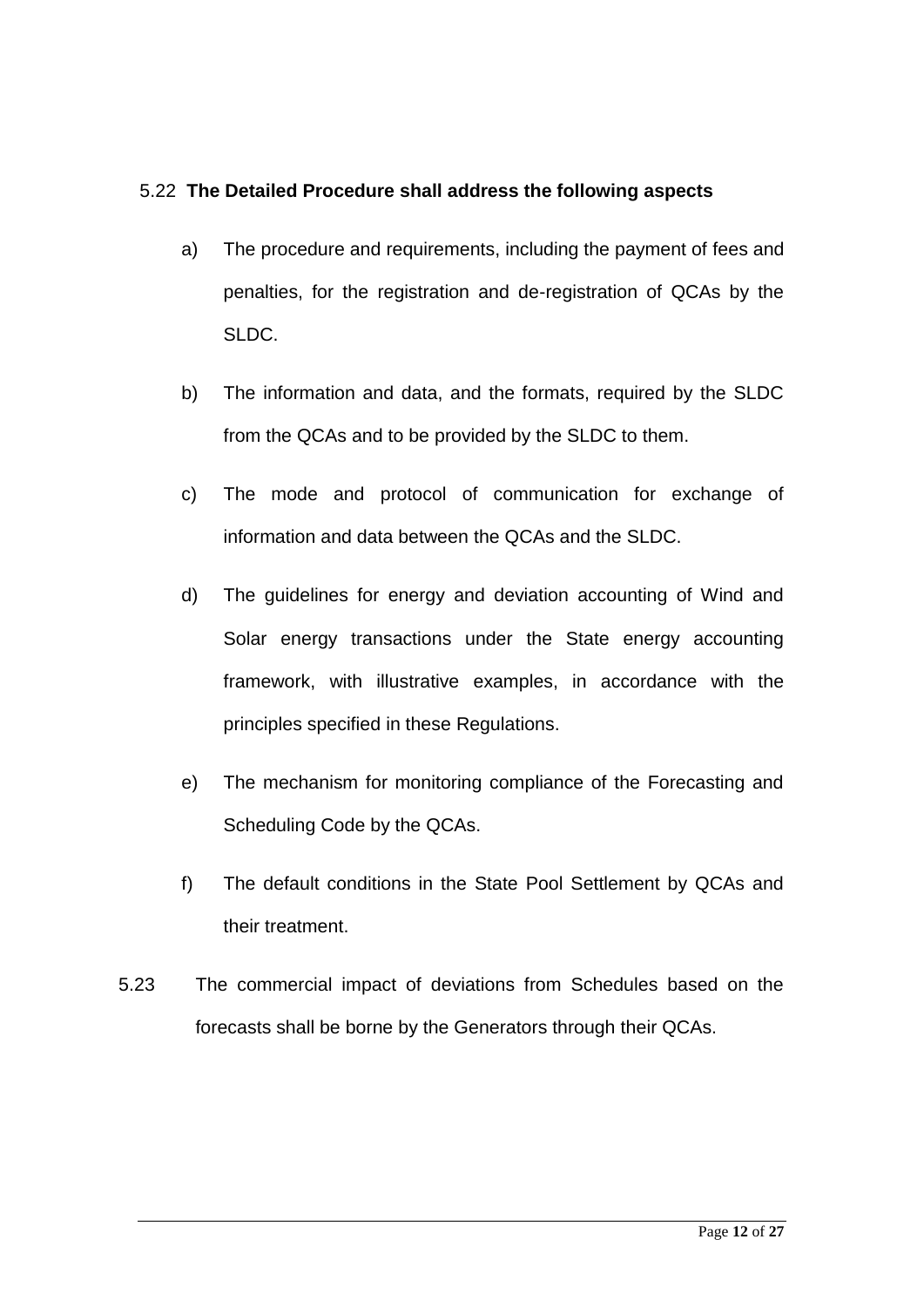## 5.22 **The Detailed Procedure shall address the following aspects**

- a) The procedure and requirements, including the payment of fees and penalties, for the registration and de-registration of QCAs by the SLDC.
- b) The information and data, and the formats, required by the SLDC from the QCAs and to be provided by the SLDC to them.
- c) The mode and protocol of communication for exchange of information and data between the QCAs and the SLDC.
- d) The guidelines for energy and deviation accounting of Wind and Solar energy transactions under the State energy accounting framework, with illustrative examples, in accordance with the principles specified in these Regulations.
- e) The mechanism for monitoring compliance of the Forecasting and Scheduling Code by the QCAs.
- f) The default conditions in the State Pool Settlement by QCAs and their treatment.
- 5.23 The commercial impact of deviations from Schedules based on the forecasts shall be borne by the Generators through their QCAs.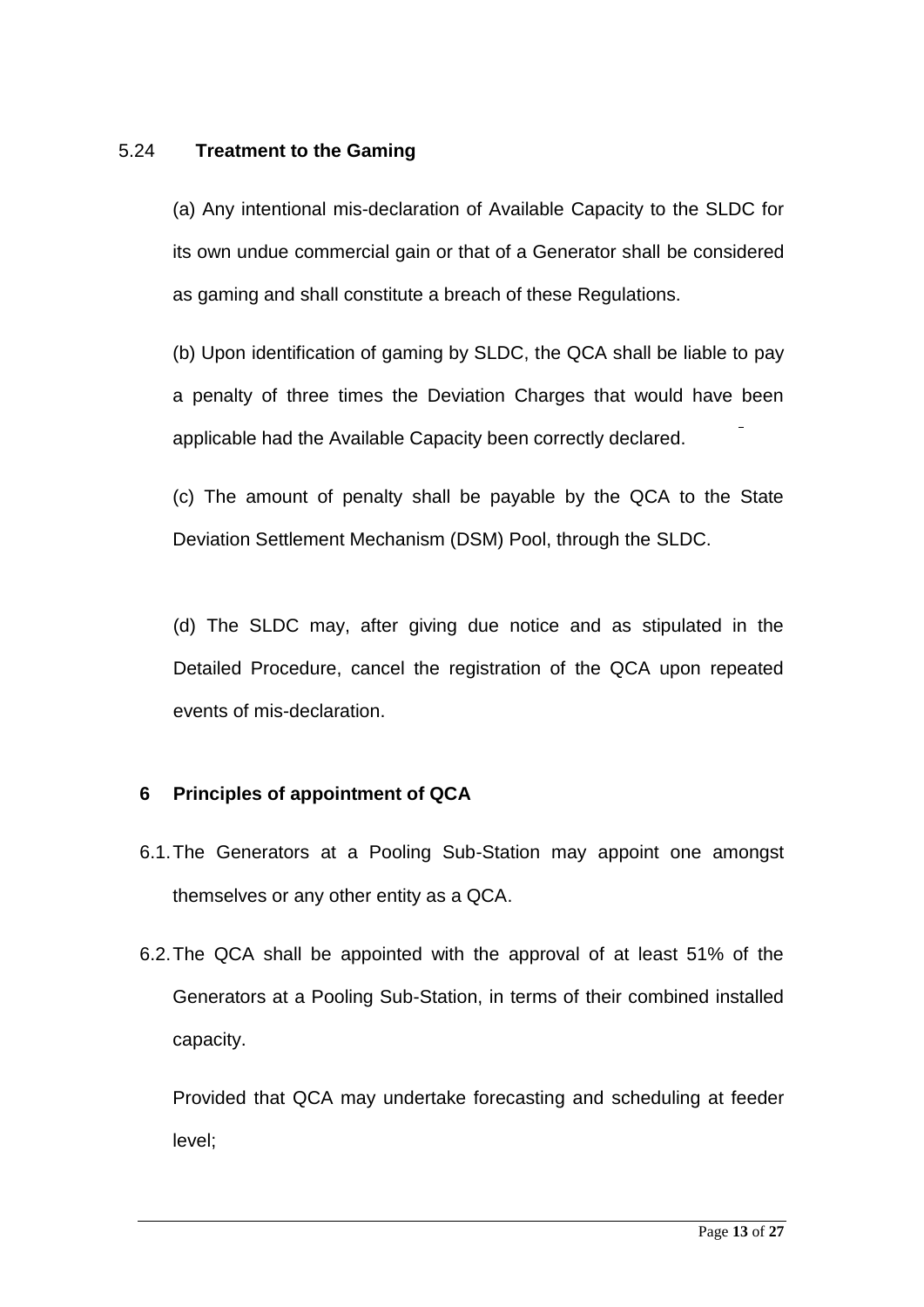## 5.24 **Treatment to the Gaming**

(a) Any intentional mis-declaration of Available Capacity to the SLDC for its own undue commercial gain or that of a Generator shall be considered as gaming and shall constitute a breach of these Regulations.

(b) Upon identification of gaming by SLDC, the QCA shall be liable to pay a penalty of three times the Deviation Charges that would have been applicable had the Available Capacity been correctly declared.

(c) The amount of penalty shall be payable by the QCA to the State Deviation Settlement Mechanism (DSM) Pool, through the SLDC.

(d) The SLDC may, after giving due notice and as stipulated in the Detailed Procedure, cancel the registration of the QCA upon repeated events of mis-declaration.

## **6 Principles of appointment of QCA**

- 6.1.The Generators at a Pooling Sub-Station may appoint one amongst themselves or any other entity as a QCA.
- 6.2.The QCA shall be appointed with the approval of at least 51% of the Generators at a Pooling Sub-Station, in terms of their combined installed capacity.

Provided that QCA may undertake forecasting and scheduling at feeder level;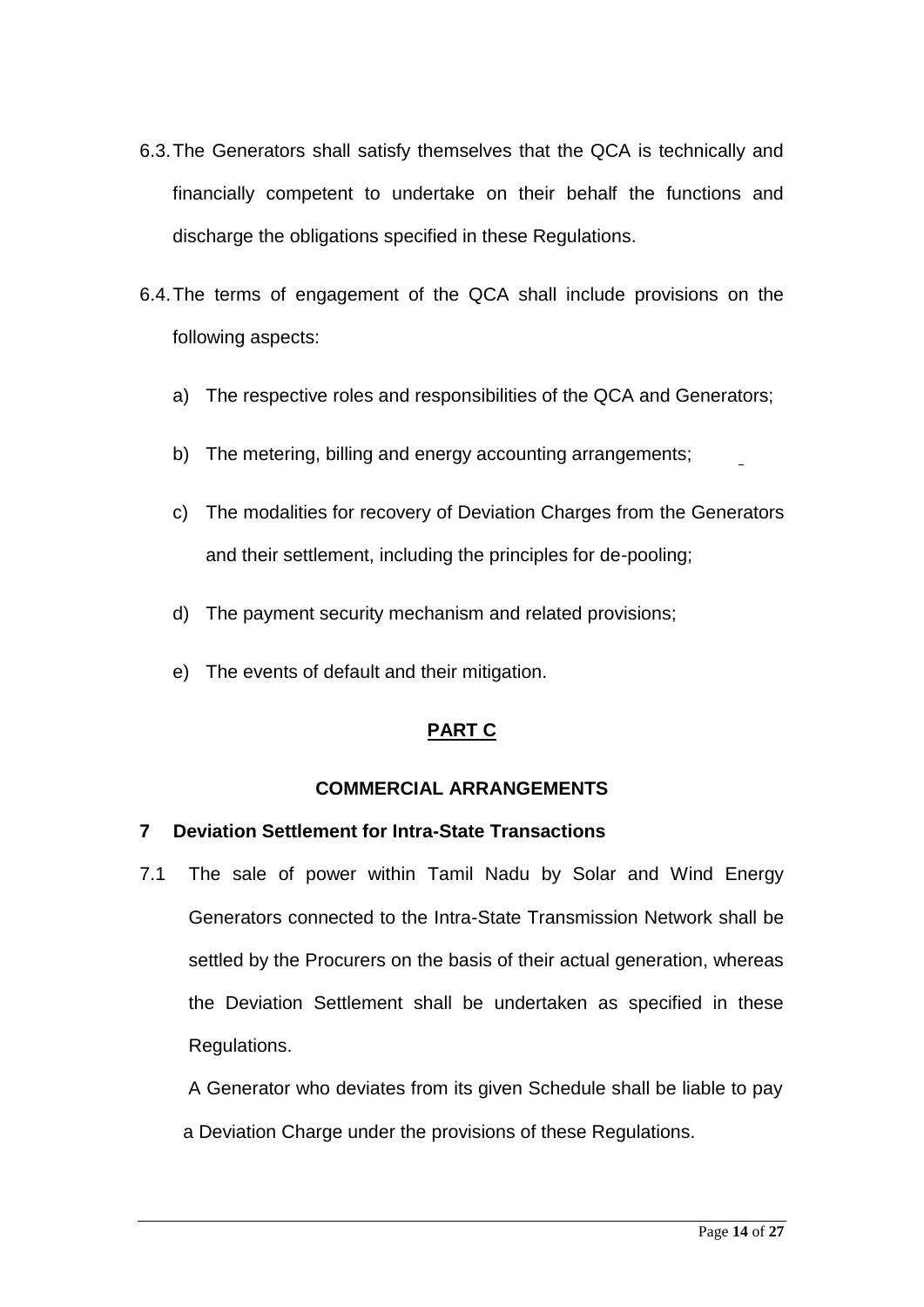- 6.3.The Generators shall satisfy themselves that the QCA is technically and financially competent to undertake on their behalf the functions and discharge the obligations specified in these Regulations.
- 6.4.The terms of engagement of the QCA shall include provisions on the following aspects:
	- a) The respective roles and responsibilities of the QCA and Generators;
	- b) The metering, billing and energy accounting arrangements;
	- c) The modalities for recovery of Deviation Charges from the Generators and their settlement, including the principles for de-pooling;
	- d) The payment security mechanism and related provisions;
	- e) The events of default and their mitigation.

# **PART C**

## **COMMERCIAL ARRANGEMENTS**

## **7 Deviation Settlement for Intra-State Transactions**

7.1 The sale of power within Tamil Nadu by Solar and Wind Energy Generators connected to the Intra-State Transmission Network shall be settled by the Procurers on the basis of their actual generation, whereas the Deviation Settlement shall be undertaken as specified in these Regulations.

A Generator who deviates from its given Schedule shall be liable to pay a Deviation Charge under the provisions of these Regulations.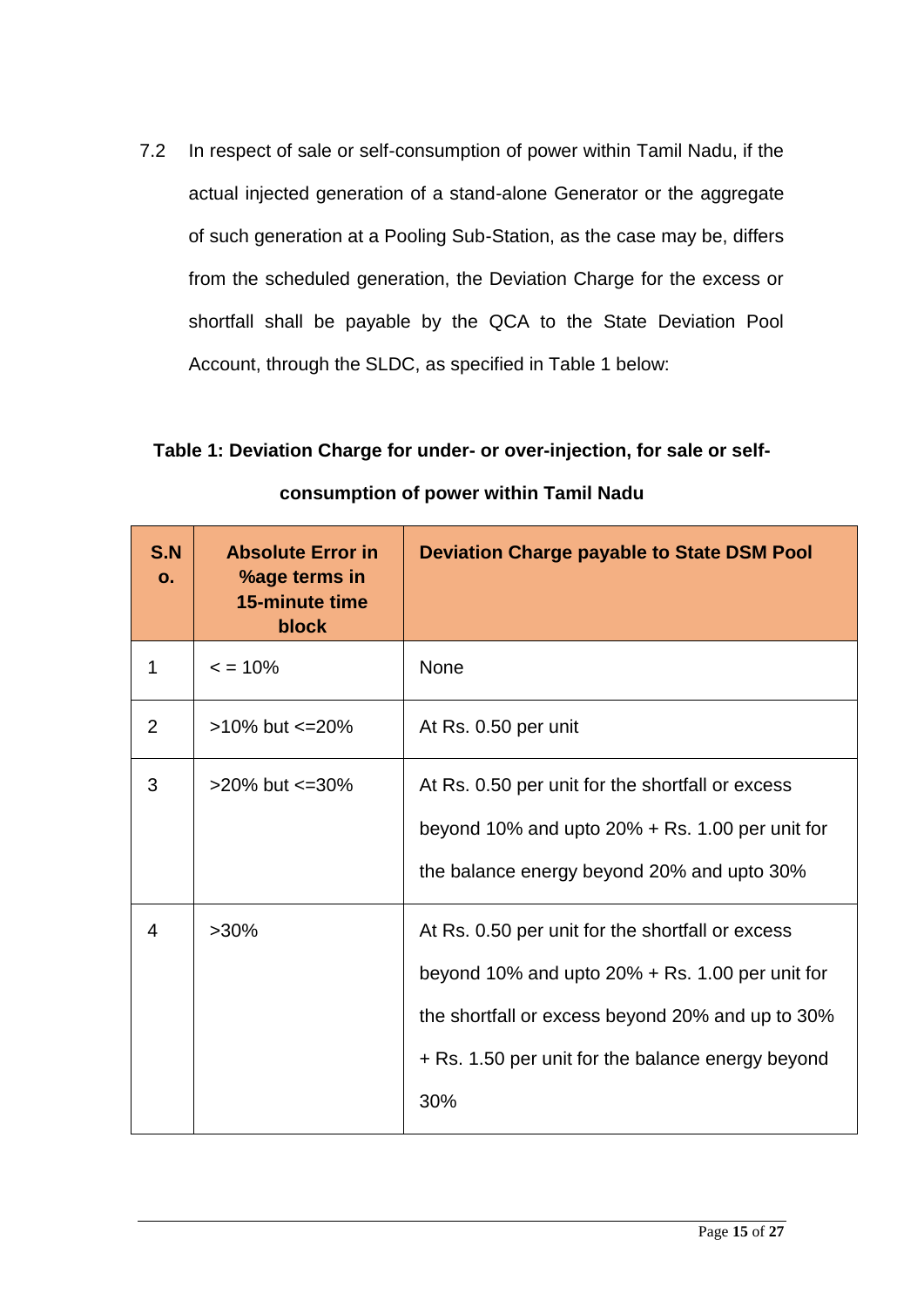7.2 In respect of sale or self-consumption of power within Tamil Nadu, if the actual injected generation of a stand-alone Generator or the aggregate of such generation at a Pooling Sub-Station, as the case may be, differs from the scheduled generation, the Deviation Charge for the excess or shortfall shall be payable by the QCA to the State Deviation Pool Account, through the SLDC, as specified in Table 1 below:

**Table 1: Deviation Charge for under- or over-injection, for sale or selfconsumption of power within Tamil Nadu**

| S.N<br>$\mathbf{O}$ . | <b>Absolute Error in</b><br>%age terms in<br>15-minute time<br>block | <b>Deviation Charge payable to State DSM Pool</b>                                                                                                                                                                     |
|-----------------------|----------------------------------------------------------------------|-----------------------------------------------------------------------------------------------------------------------------------------------------------------------------------------------------------------------|
| 1                     | $\epsilon$ = 10%                                                     | <b>None</b>                                                                                                                                                                                                           |
| 2                     | $>10\%$ but $\leq=20\%$                                              | At Rs. 0.50 per unit                                                                                                                                                                                                  |
| 3                     | $>20\%$ but $\leq 30\%$                                              | At Rs. 0.50 per unit for the shortfall or excess<br>beyond 10% and upto $20%$ + Rs. 1.00 per unit for<br>the balance energy beyond 20% and upto 30%                                                                   |
| 4                     | $>30\%$                                                              | At Rs. 0.50 per unit for the shortfall or excess<br>beyond 10% and upto $20%$ + Rs. 1.00 per unit for<br>the shortfall or excess beyond 20% and up to 30%<br>+ Rs. 1.50 per unit for the balance energy beyond<br>30% |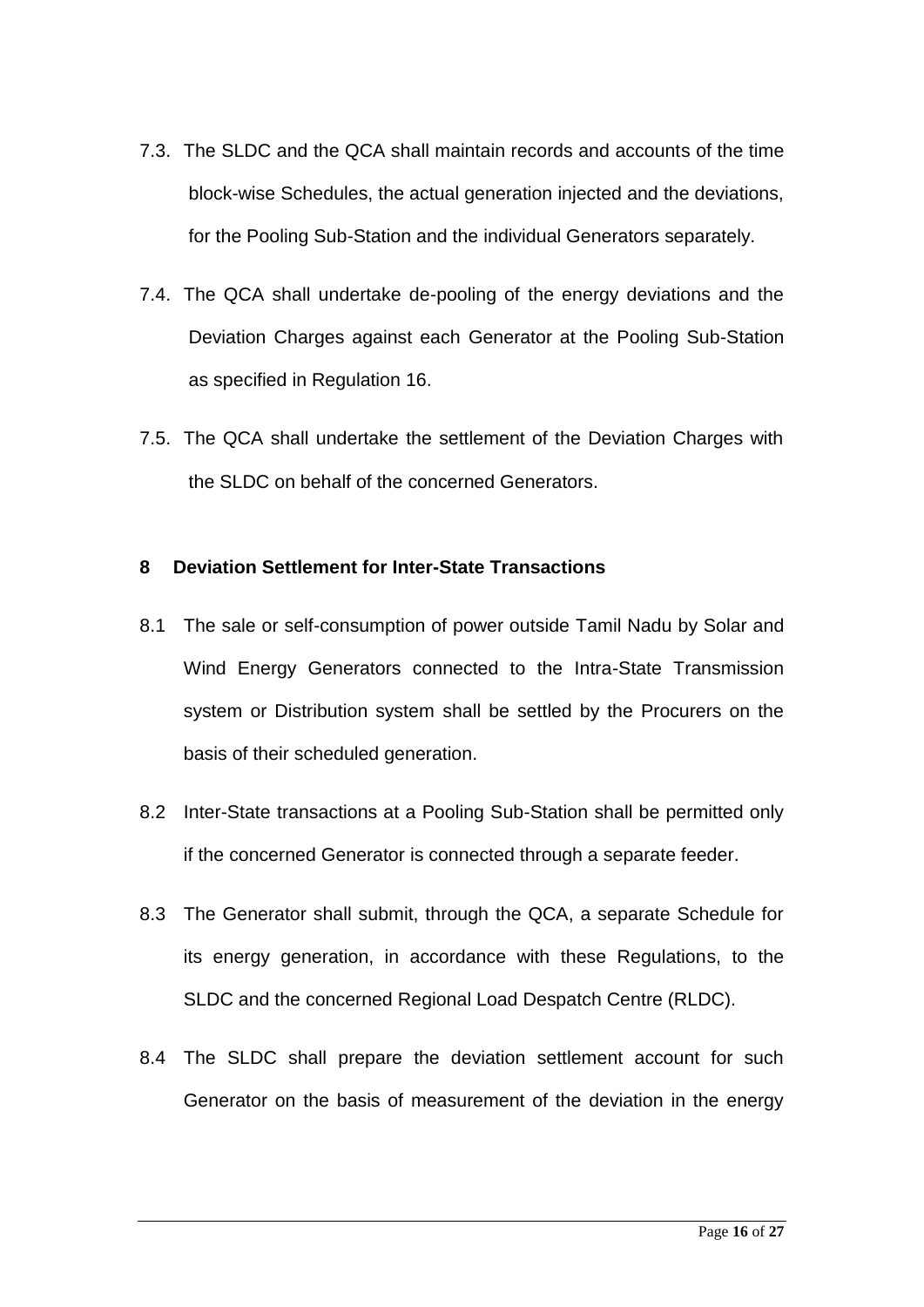- 7.3. The SLDC and the QCA shall maintain records and accounts of the time block-wise Schedules, the actual generation injected and the deviations, for the Pooling Sub-Station and the individual Generators separately.
- 7.4. The QCA shall undertake de-pooling of the energy deviations and the Deviation Charges against each Generator at the Pooling Sub-Station as specified in Regulation 16.
- 7.5. The QCA shall undertake the settlement of the Deviation Charges with the SLDC on behalf of the concerned Generators.

### **8 Deviation Settlement for Inter-State Transactions**

- 8.1 The sale or self-consumption of power outside Tamil Nadu by Solar and Wind Energy Generators connected to the Intra-State Transmission system or Distribution system shall be settled by the Procurers on the basis of their scheduled generation.
- 8.2 Inter-State transactions at a Pooling Sub-Station shall be permitted only if the concerned Generator is connected through a separate feeder.
- 8.3 The Generator shall submit, through the QCA, a separate Schedule for its energy generation, in accordance with these Regulations, to the SLDC and the concerned Regional Load Despatch Centre (RLDC).
- 8.4 The SLDC shall prepare the deviation settlement account for such Generator on the basis of measurement of the deviation in the energy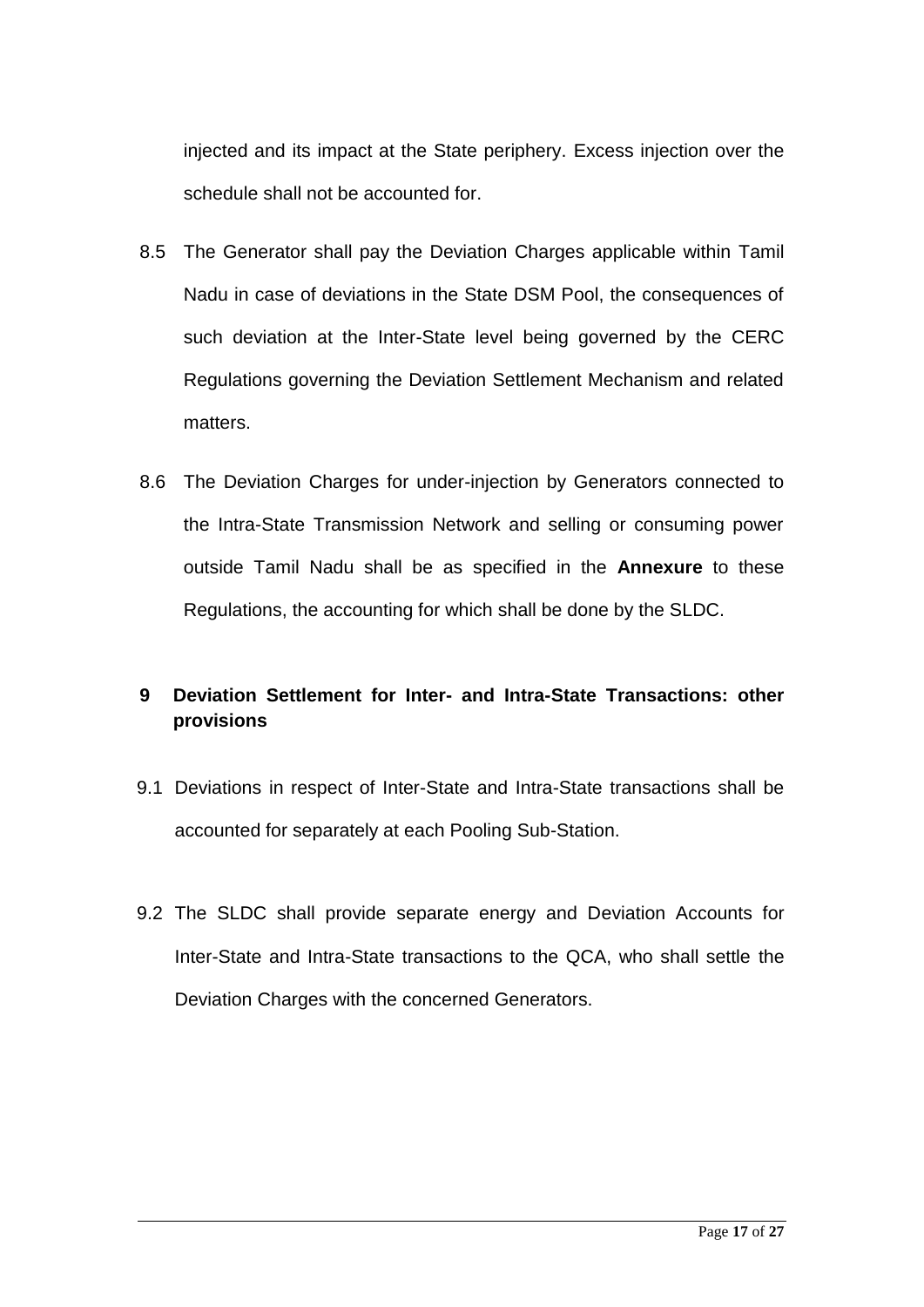injected and its impact at the State periphery. Excess injection over the schedule shall not be accounted for.

- 8.5 The Generator shall pay the Deviation Charges applicable within Tamil Nadu in case of deviations in the State DSM Pool, the consequences of such deviation at the Inter-State level being governed by the CERC Regulations governing the Deviation Settlement Mechanism and related matters.
- 8.6 The Deviation Charges for under-injection by Generators connected to the Intra-State Transmission Network and selling or consuming power outside Tamil Nadu shall be as specified in the **Annexure** to these Regulations, the accounting for which shall be done by the SLDC.

# **9 Deviation Settlement for Inter- and Intra-State Transactions: other provisions**

- 9.1 Deviations in respect of Inter-State and Intra-State transactions shall be accounted for separately at each Pooling Sub-Station.
- 9.2 The SLDC shall provide separate energy and Deviation Accounts for Inter-State and Intra-State transactions to the QCA, who shall settle the Deviation Charges with the concerned Generators.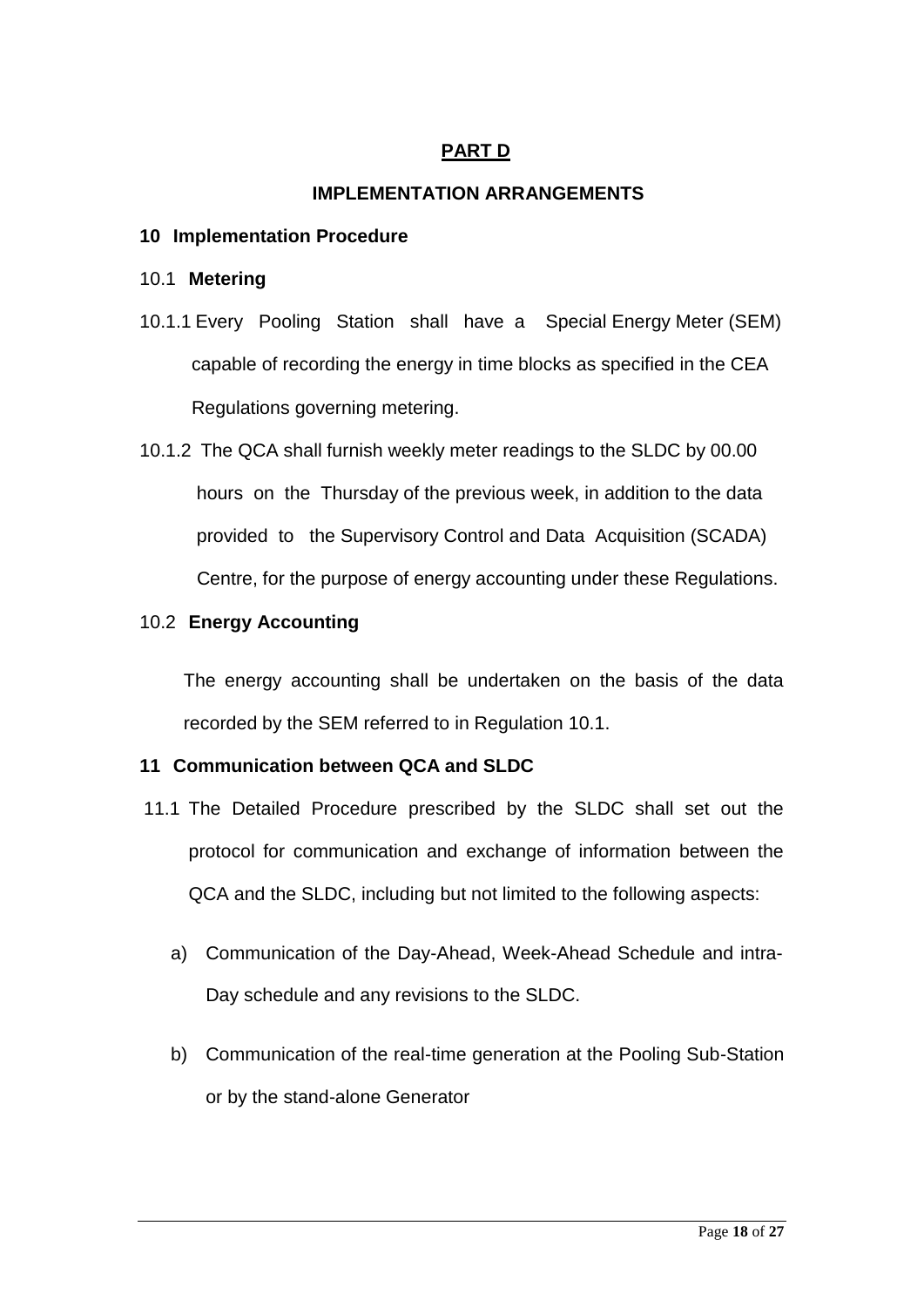## **PART D**

## **IMPLEMENTATION ARRANGEMENTS**

#### **10 Implementation Procedure**

#### 10.1 **Metering**

- 10.1.1 Every Pooling Station shall have a Special Energy Meter (SEM) capable of recording the energy in time blocks as specified in the CEA Regulations governing metering.
- 10.1.2 The QCA shall furnish weekly meter readings to the SLDC by 00.00 hours on the Thursday of the previous week, in addition to the data provided to the Supervisory Control and Data Acquisition (SCADA) Centre, for the purpose of energy accounting under these Regulations.

#### 10.2 **Energy Accounting**

The energy accounting shall be undertaken on the basis of the data recorded by the SEM referred to in Regulation 10.1.

#### **11 Communication between QCA and SLDC**

- 11.1 The Detailed Procedure prescribed by the SLDC shall set out the protocol for communication and exchange of information between the QCA and the SLDC, including but not limited to the following aspects:
	- a) Communication of the Day-Ahead, Week-Ahead Schedule and intra-Day schedule and any revisions to the SLDC.
	- b) Communication of the real-time generation at the Pooling Sub-Station or by the stand-alone Generator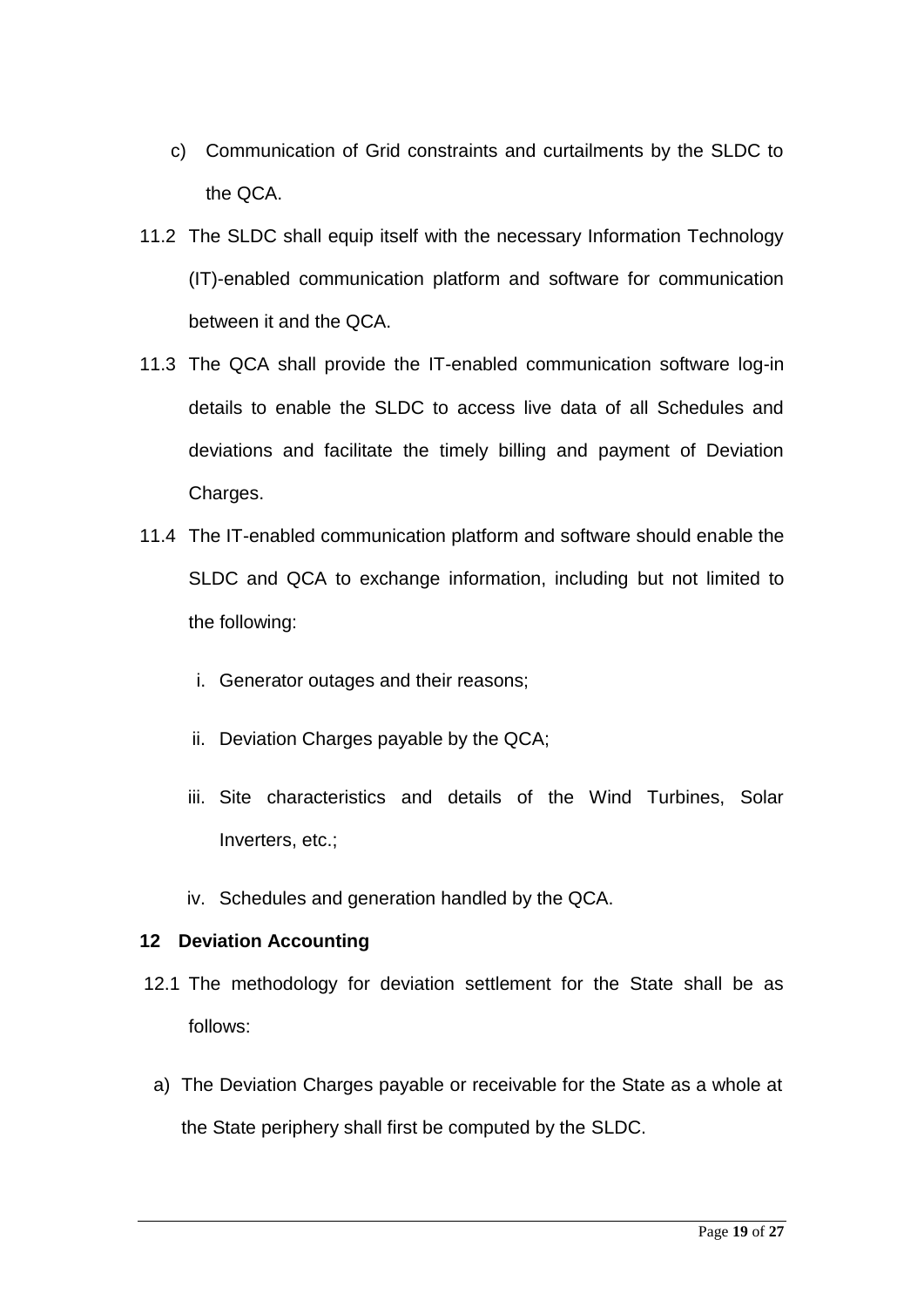- c) Communication of Grid constraints and curtailments by the SLDC to the QCA.
- 11.2 The SLDC shall equip itself with the necessary Information Technology (IT)-enabled communication platform and software for communication between it and the QCA.
- 11.3 The QCA shall provide the IT-enabled communication software log-in details to enable the SLDC to access live data of all Schedules and deviations and facilitate the timely billing and payment of Deviation Charges.
- 11.4 The IT-enabled communication platform and software should enable the SLDC and QCA to exchange information, including but not limited to the following:
	- i. Generator outages and their reasons;
	- ii. Deviation Charges payable by the QCA;
	- iii. Site characteristics and details of the Wind Turbines, Solar Inverters, etc.;
	- iv. Schedules and generation handled by the QCA.

## **12 Deviation Accounting**

- 12.1 The methodology for deviation settlement for the State shall be as follows:
- a) The Deviation Charges payable or receivable for the State as a whole at the State periphery shall first be computed by the SLDC.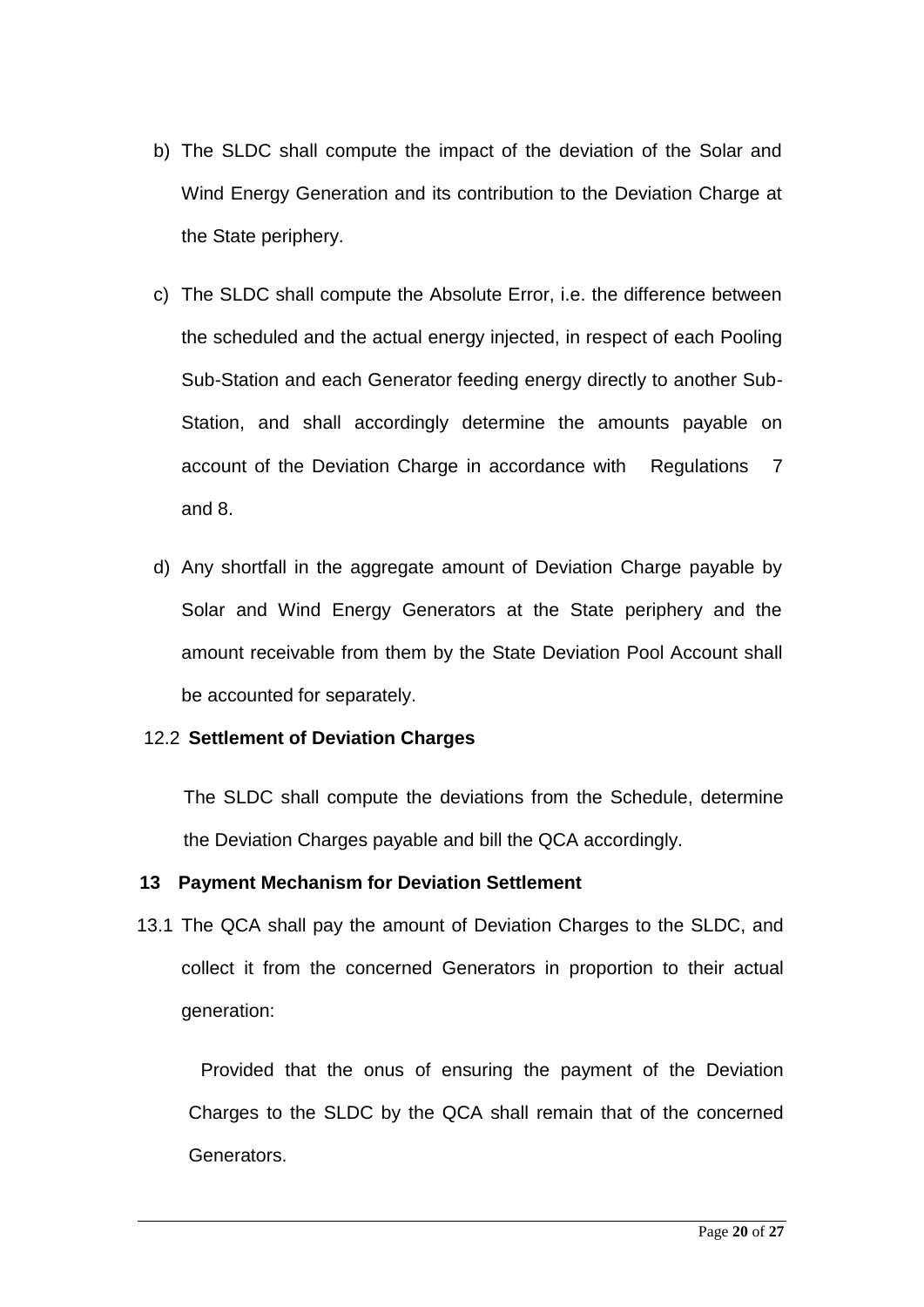- b) The SLDC shall compute the impact of the deviation of the Solar and Wind Energy Generation and its contribution to the Deviation Charge at the State periphery.
- c) The SLDC shall compute the Absolute Error, i.e. the difference between the scheduled and the actual energy injected, in respect of each Pooling Sub-Station and each Generator feeding energy directly to another Sub-Station, and shall accordingly determine the amounts payable on account of the Deviation Charge in accordance with Regulations 7 and 8.
- d) Any shortfall in the aggregate amount of Deviation Charge payable by Solar and Wind Energy Generators at the State periphery and the amount receivable from them by the State Deviation Pool Account shall be accounted for separately.

## 12.2 **Settlement of Deviation Charges**

The SLDC shall compute the deviations from the Schedule, determine the Deviation Charges payable and bill the QCA accordingly.

#### **13 Payment Mechanism for Deviation Settlement**

13.1 The QCA shall pay the amount of Deviation Charges to the SLDC, and collect it from the concerned Generators in proportion to their actual generation:

Provided that the onus of ensuring the payment of the Deviation Charges to the SLDC by the QCA shall remain that of the concerned Generators.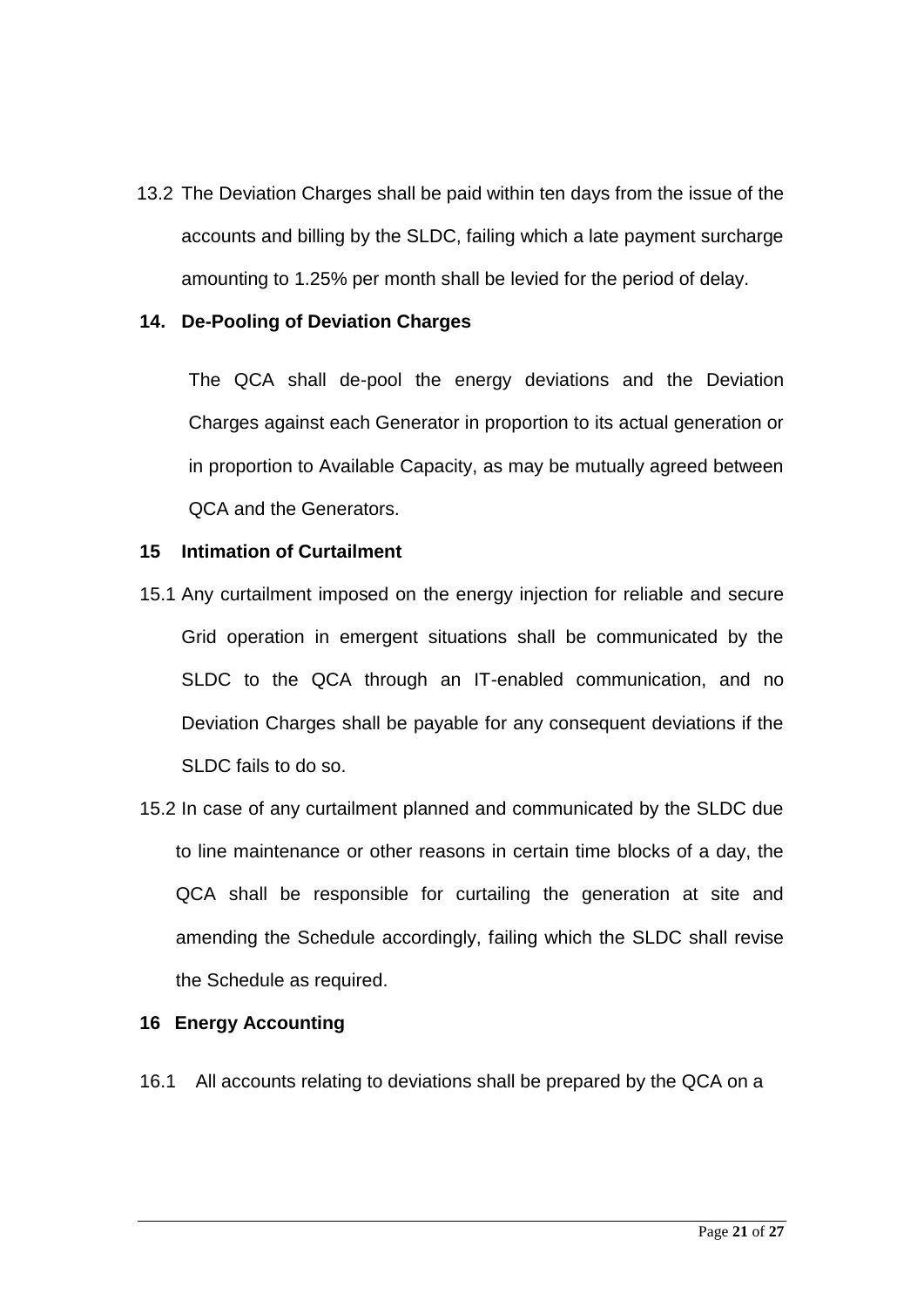13.2 The Deviation Charges shall be paid within ten days from the issue of the accounts and billing by the SLDC, failing which a late payment surcharge amounting to 1.25% per month shall be levied for the period of delay.

#### **14. De-Pooling of Deviation Charges**

The QCA shall de-pool the energy deviations and the Deviation Charges against each Generator in proportion to its actual generation or in proportion to Available Capacity, as may be mutually agreed between QCA and the Generators.

#### **15 Intimation of Curtailment**

- 15.1 Any curtailment imposed on the energy injection for reliable and secure Grid operation in emergent situations shall be communicated by the SLDC to the QCA through an IT-enabled communication, and no Deviation Charges shall be payable for any consequent deviations if the SLDC fails to do so.
- 15.2 In case of any curtailment planned and communicated by the SLDC due to line maintenance or other reasons in certain time blocks of a day, the QCA shall be responsible for curtailing the generation at site and amending the Schedule accordingly, failing which the SLDC shall revise the Schedule as required.

#### **16 Energy Accounting**

16.1 All accounts relating to deviations shall be prepared by the QCA on a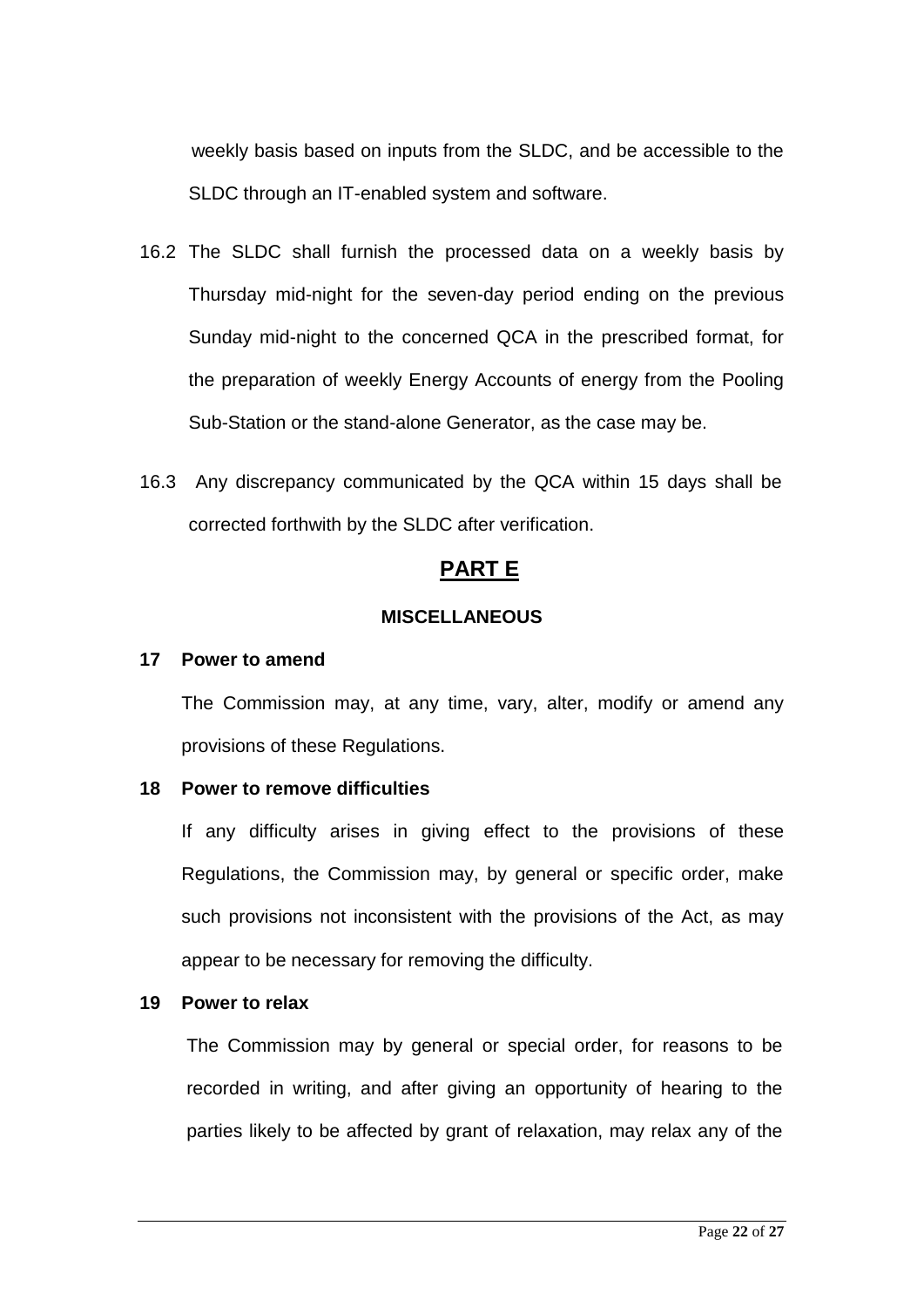weekly basis based on inputs from the SLDC, and be accessible to the SLDC through an IT-enabled system and software.

- 16.2 The SLDC shall furnish the processed data on a weekly basis by Thursday mid-night for the seven-day period ending on the previous Sunday mid-night to the concerned QCA in the prescribed format, for the preparation of weekly Energy Accounts of energy from the Pooling Sub-Station or the stand-alone Generator, as the case may be.
- 16.3 Any discrepancy communicated by the QCA within 15 days shall be corrected forthwith by the SLDC after verification.

## **PART E**

### **MISCELLANEOUS**

#### **17 Power to amend**

The Commission may, at any time, vary, alter, modify or amend any provisions of these Regulations.

#### **18 Power to remove difficulties**

If any difficulty arises in giving effect to the provisions of these Regulations, the Commission may, by general or specific order, make such provisions not inconsistent with the provisions of the Act, as may appear to be necessary for removing the difficulty.

#### **19 Power to relax**

The Commission may by general or special order, for reasons to be recorded in writing, and after giving an opportunity of hearing to the parties likely to be affected by grant of relaxation, may relax any of the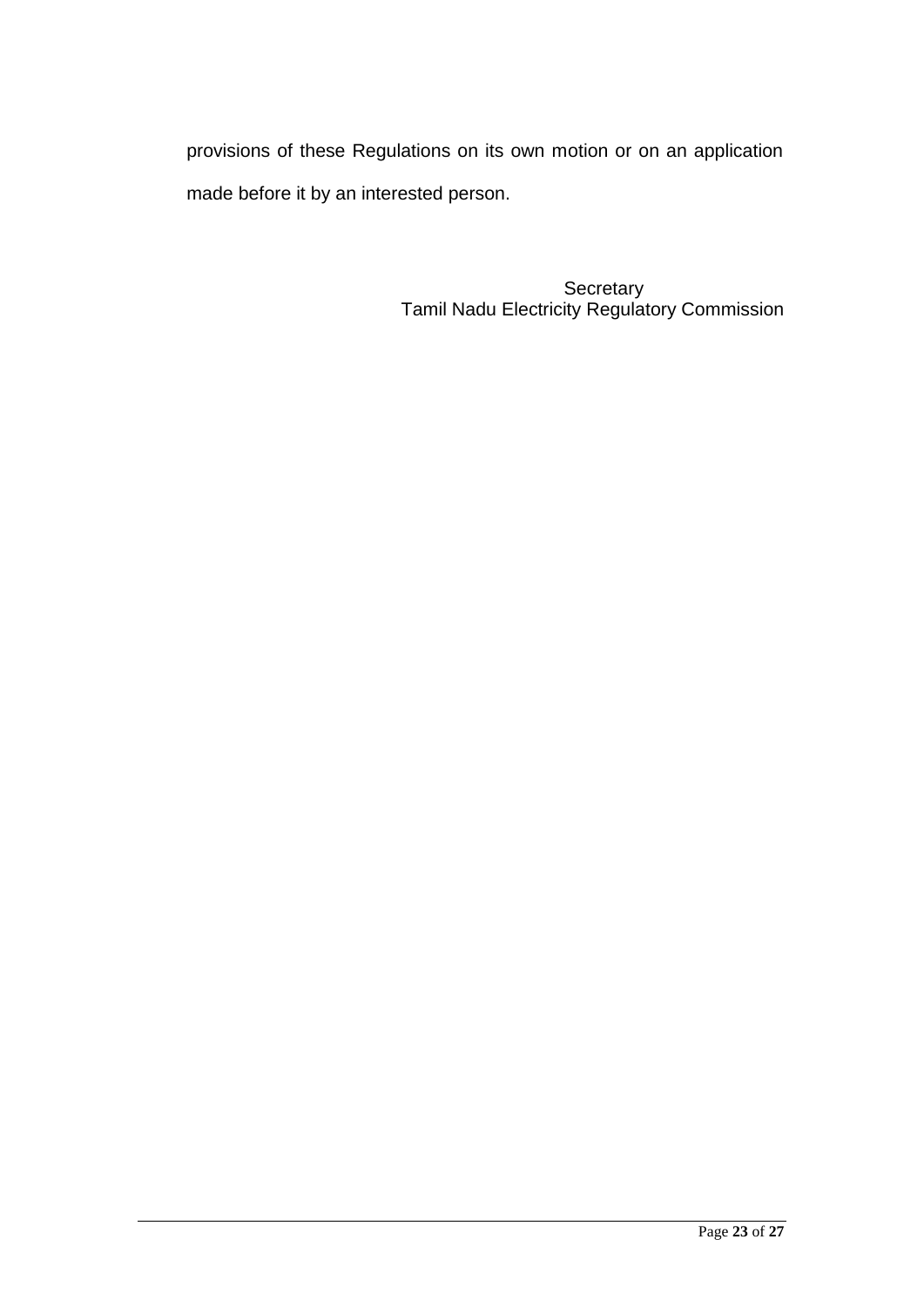provisions of these Regulations on its own motion or on an application made before it by an interested person.

> **Secretary** Tamil Nadu Electricity Regulatory Commission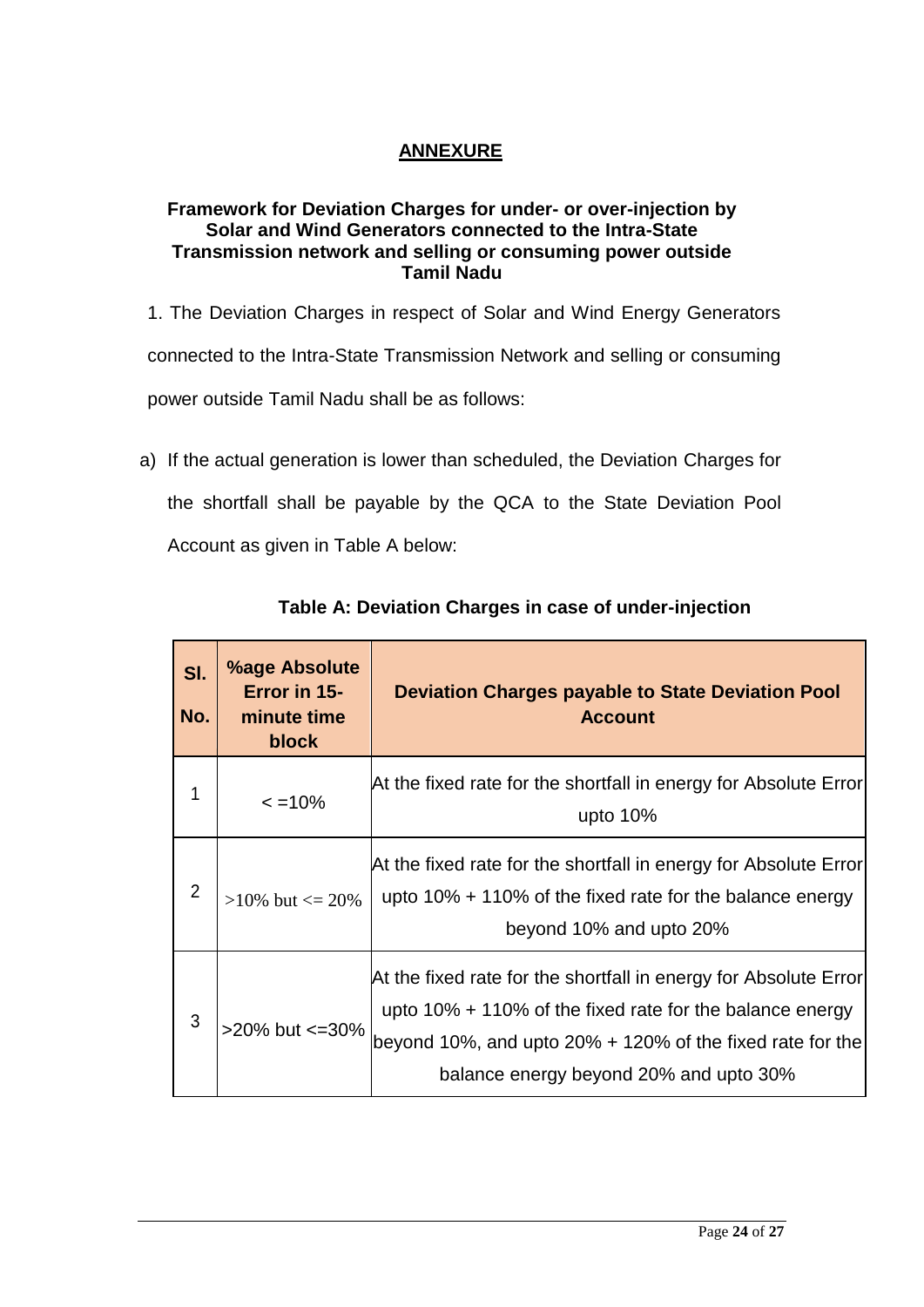# **ANNEXURE**

## **Framework for Deviation Charges for under- or over-injection by Solar and Wind Generators connected to the Intra-State Transmission network and selling or consuming power outside Tamil Nadu**

- 1. The Deviation Charges in respect of Solar and Wind Energy Generators connected to the Intra-State Transmission Network and selling or consuming power outside Tamil Nadu shall be as follows:
- a) If the actual generation is lower than scheduled, the Deviation Charges for the shortfall shall be payable by the QCA to the State Deviation Pool Account as given in Table A below:

| SI.<br>No.     | <b>%age Absolute</b><br>Error in 15-<br>minute time<br><b>block</b> | <b>Deviation Charges payable to State Deviation Pool</b><br><b>Account</b>                                                                                                                                                                 |
|----------------|---------------------------------------------------------------------|--------------------------------------------------------------------------------------------------------------------------------------------------------------------------------------------------------------------------------------------|
| 1              | $\leq$ =10%                                                         | At the fixed rate for the shortfall in energy for Absolute Error <br>upto $10%$                                                                                                                                                            |
| $\overline{2}$ | $>10\%$ but $\leq 20\%$                                             | At the fixed rate for the shortfall in energy for Absolute Error<br>upto $10\% + 110\%$ of the fixed rate for the balance energy<br>beyond 10% and upto 20%                                                                                |
| 3              | >20% but <= 30%                                                     | At the fixed rate for the shortfall in energy for Absolute Error <br>upto $10\% + 110\%$ of the fixed rate for the balance energy<br>beyond 10%, and upto 20% $+$ 120% of the fixed rate for the<br>balance energy beyond 20% and upto 30% |

## **Table A: Deviation Charges in case of under-injection**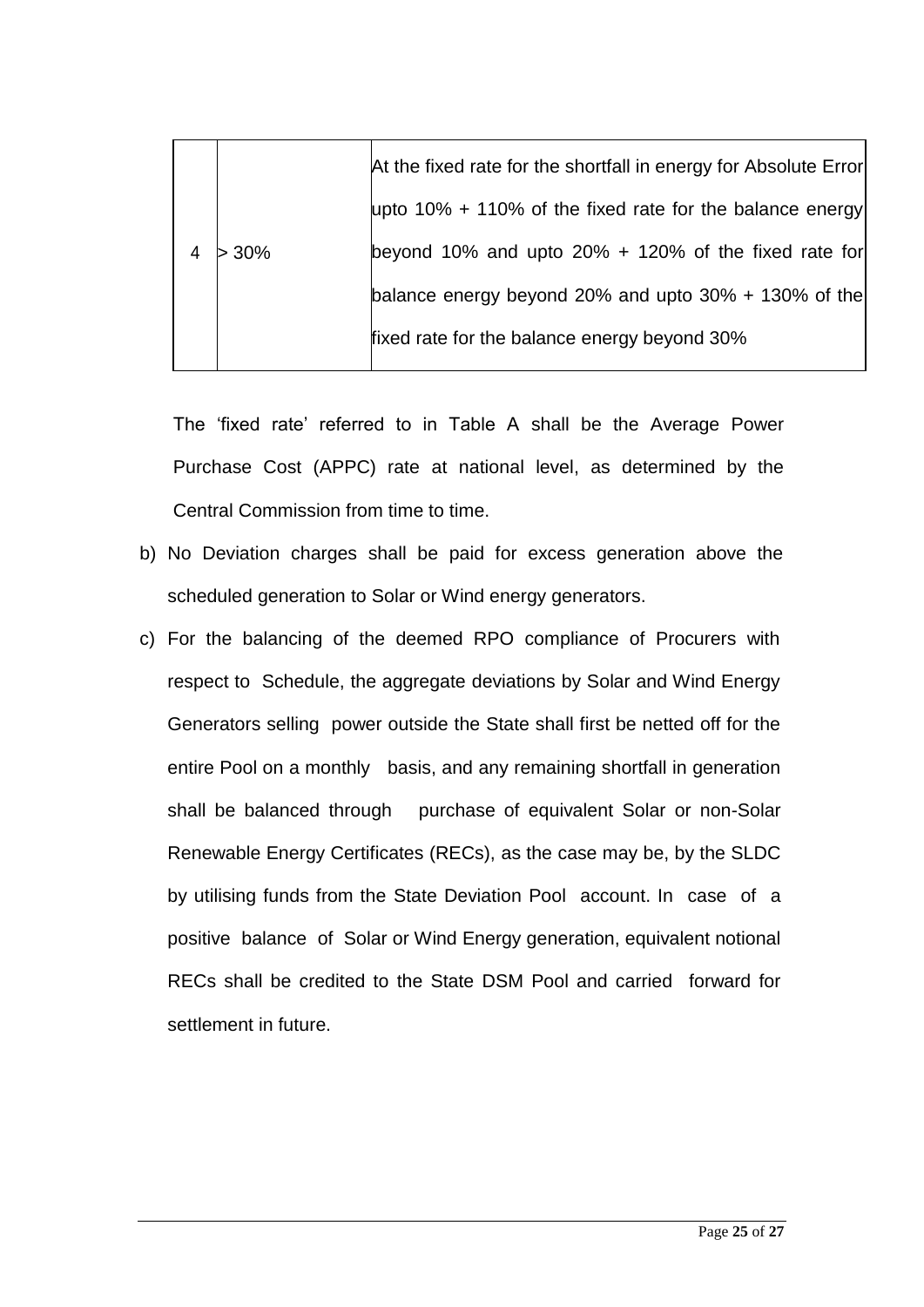| upto 10% + 110% of the fixed rate for the balance energy |
|----------------------------------------------------------|
| beyond 10% and upto 20% + 120% of the fixed rate for     |
| balance energy beyond 20% and upto 30% + 130% of the     |
|                                                          |
|                                                          |

The 'fixed rate' referred to in Table A shall be the Average Power Purchase Cost (APPC) rate at national level, as determined by the Central Commission from time to time.

- b) No Deviation charges shall be paid for excess generation above the scheduled generation to Solar or Wind energy generators.
- c) For the balancing of the deemed RPO compliance of Procurers with respect to Schedule, the aggregate deviations by Solar and Wind Energy Generators selling power outside the State shall first be netted off for the entire Pool on a monthly basis, and any remaining shortfall in generation shall be balanced through purchase of equivalent Solar or non-Solar Renewable Energy Certificates (RECs), as the case may be, by the SLDC by utilising funds from the State Deviation Pool account. In case of a positive balance of Solar or Wind Energy generation, equivalent notional RECs shall be credited to the State DSM Pool and carried forward for settlement in future.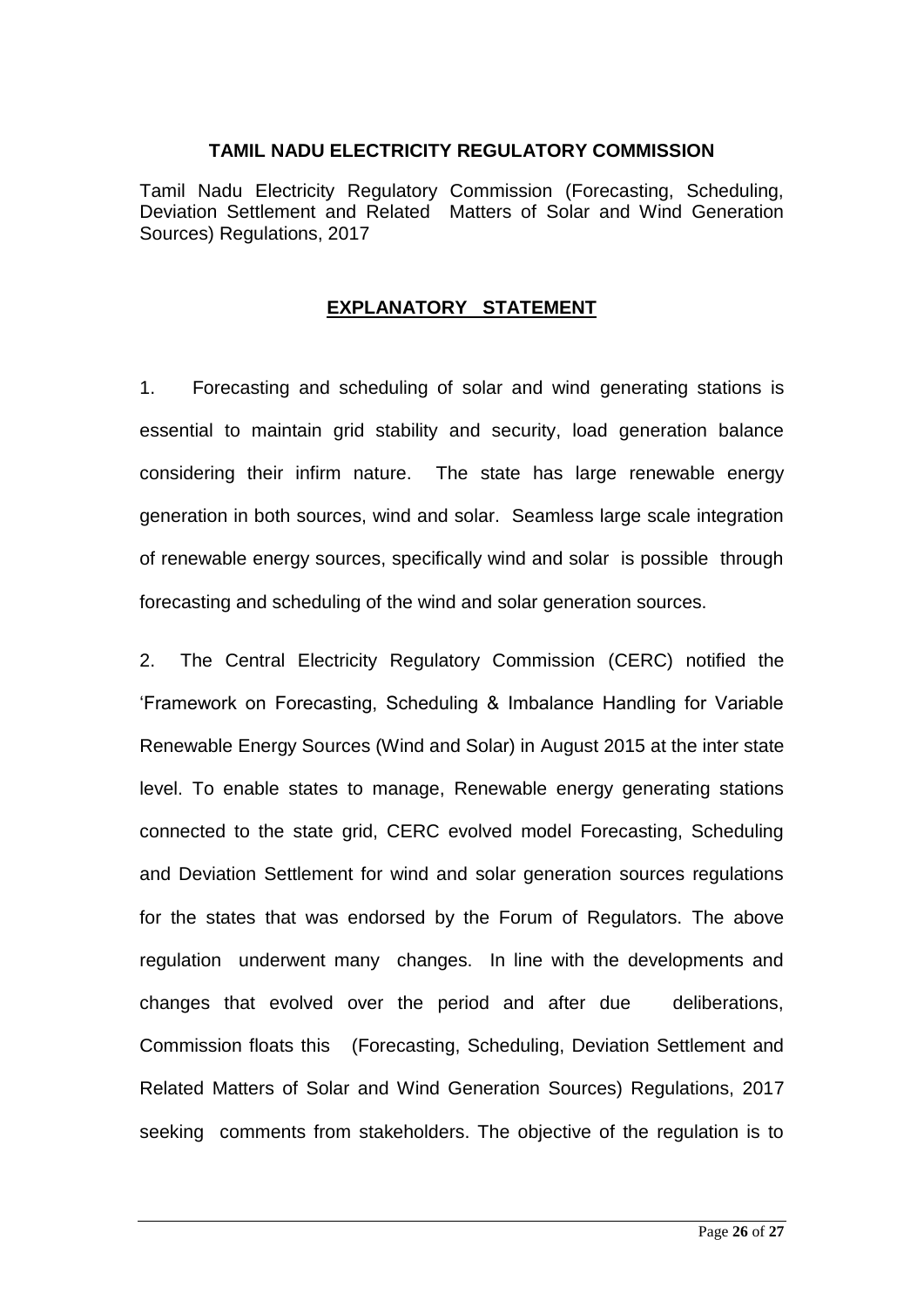#### **TAMIL NADU ELECTRICITY REGULATORY COMMISSION**

Tamil Nadu Electricity Regulatory Commission (Forecasting, Scheduling, Deviation Settlement and Related Matters of Solar and Wind Generation Sources) Regulations, 2017

## **EXPLANATORY STATEMENT**

1. Forecasting and scheduling of solar and wind generating stations is essential to maintain grid stability and security, load generation balance considering their infirm nature. The state has large renewable energy generation in both sources, wind and solar. Seamless large scale integration of renewable energy sources, specifically wind and solar is possible through forecasting and scheduling of the wind and solar generation sources.

2. The Central Electricity Regulatory Commission (CERC) notified the 'Framework on Forecasting, Scheduling & Imbalance Handling for Variable Renewable Energy Sources (Wind and Solar) in August 2015 at the inter state level. To enable states to manage, Renewable energy generating stations connected to the state grid, CERC evolved model Forecasting, Scheduling and Deviation Settlement for wind and solar generation sources regulations for the states that was endorsed by the Forum of Regulators. The above regulation underwent many changes. In line with the developments and changes that evolved over the period and after due deliberations, Commission floats this (Forecasting, Scheduling, Deviation Settlement and Related Matters of Solar and Wind Generation Sources) Regulations, 2017 seeking comments from stakeholders. The objective of the regulation is to